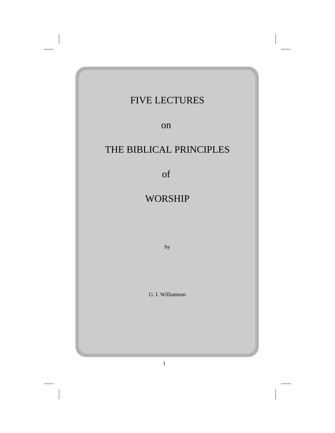# FIVE LECTURES

on

# THE BIBLICAL PRINCIPLES

of

# WORSHIP

by

G. I. Williamson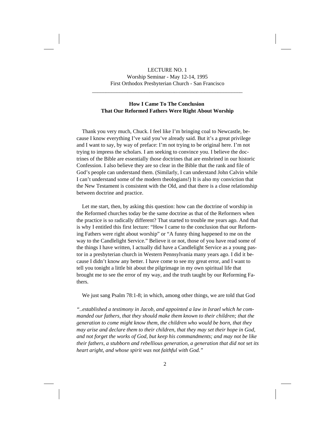\_\_\_\_\_\_\_\_\_\_\_\_\_\_\_\_\_\_\_\_\_\_\_\_\_\_\_\_\_\_\_\_\_\_\_\_\_\_\_\_\_\_\_\_\_\_\_\_\_\_\_\_\_\_\_

## **How I Came To The Conclusion That Our Reformed Fathers Were Right About Worship**

Thank you very much, Chuck. I feel like I'm bringing coal to Newcastle, because I know everything I've said you've already said. But it's a great privilege and I want to say, by way of preface: I'm not trying to be original here. I'm not trying to impress the scholars. I am seeking to convince you. I believe the doctrines of the Bible are essentially those doctrines that are enshrined in our historic Confession. I also believe they are so clear in the Bible that the rank and file of God's people can understand them. (Similarly, I can understand John Calvin while I can't understand some of the modern theologians!) It is also my conviction that the New Testament is consistent with the Old, and that there is a close relationship between doctrine and practice.

Let me start, then, by asking this question: how can the doctrine of worship in the Reformed churches today be the same doctrine as that of the Reformers when the practice is so radically different? That started to trouble me years ago. And that is why I entitled this first lecture: "How I came to the conclusion that our Reforming Fathers were right about worship" or "A funny thing happened to me on the way to the Candlelight Service." Believe it or not, those of you have read some of the things I have written, I actually did have a Candlelight Service as a young pastor in a presbyterian church in Western Pennsylvania many years ago. I did it because I didn't know any better. I have come to see my great error, and I want to tell you tonight a little bit about the pilgrimage in my own spiritual life that brought me to see the error of my way, and the truth taught by our Reforming Fathers.

We just sang Psalm 78:1-8; in which, among other things, we are told that God

*"..established a testimony in Jacob, and appointed a law in Israel which he commanded our fathers, that they should make them known to their children; that the generation to come might know them, the children who would be born, that they may arise and declare them to their children, that they may set their hope in God, and not forget the works of God, but keep his commandments; and may not be like their fathers, a stubborn and rebellious generation, a generation that did not set its heart aright, and whose spirit was not faithful with God."*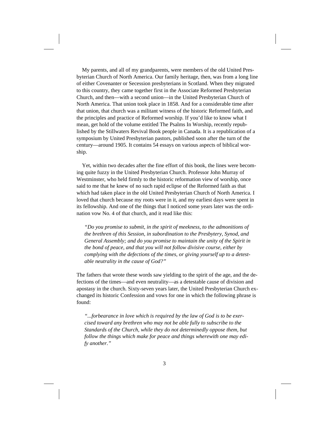My parents, and all of my grandparents, were members of the old United Presbyterian Church of North America. Our family heritage, then, was from a long line of either Covenanter or Secession presbyterians in Scotland. When they migrated to this country, they came together first in the Associate Reformed Presbyterian Church, and then—with a second union—in the United Presbyterian Church of North America. That union took place in 1858. And for a considerable time after that union, that church was a militant witness of the historic Reformed faith, and the principles and practice of Reformed worship. If you'd like to know what I mean, get hold of the volume entitled The Psalms In Worship, recently republished by the Stillwaters Revival Book people in Canada. It is a republication of a symposium by United Presbyterian pastors, published soon after the turn of the century—around 1905. It contains 54 essays on various aspects of biblical worship.

Yet, within two decades after the fine effort of this book, the lines were becoming quite fuzzy in the United Presbyterian Church. Professor John Murray of Westminster, who held firmly to the historic reformation view of worship, once said to me that he knew of no such rapid eclipse of the Reformed faith as that which had taken place in the old United Presbyterian Church of North America. I loved that church because my roots were in it, and my earliest days were spent in its fellowship. And one of the things that I noticed some years later was the ordination vow No. 4 of that church, and it read like this:

*"Do you promise to submit, in the spirit of meekness, to the admonitions of the brethren of this Session, in subordination to the Presbytery, Synod, and General Assembly; and do you promise to maintain the unity of the Spirit in the bond of peace, and that you will not follow divisive course, either by complying with the defections of the times, or giving yourself up to a detestable neutrality in the cause of God?"*

The fathers that wrote these words saw yielding to the spirit of the age, and the defections of the times—and even neutrality—as a detestable cause of division and apostasy in the church. Sixty-seven years later, the United Presbyterian Church exchanged its historic Confession and vows for one in which the following phrase is found:

*"...forbearance in love which is required by the law of God is to be exercised toward any brethren who may not be able fully to subscribe to the Standards of the Church, while they do not determinedly oppose them, but follow the things which make for peace and things wherewith one may edify another."*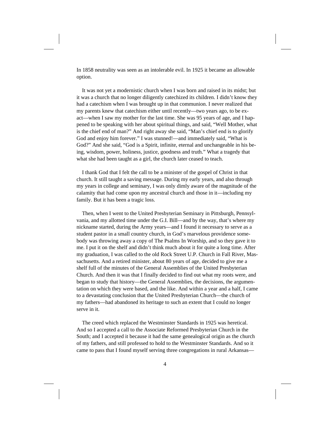In 1858 neutrality was seen as an intolerable evil. In 1925 it became an allowable option.

It was not yet a modernistic church when I was born and raised in its midst; but it was a church that no longer diligently catechized its children. I didn't know they had a catechism when I was brought up in that communion. I never realized that my parents knew that catechism either until recently—two years ago, to be exact—when I saw my mother for the last time. She was 95 years of age, and I happened to be speaking with her about spiritual things, and said, "Well Mother, what is the chief end of man?" And right away she said, "Man's chief end is to glorify God and enjoy him forever." I was stunned!—and immediately said, "What is God?" And she said, "God is a Spirit, infinite, eternal and unchangeable in his being, wisdom, power, holiness, justice, goodness and truth." What a tragedy that what she had been taught as a girl, the church later ceased to teach.

I thank God that I felt the call to be a minister of the gospel of Christ in that church. It still taught a saving message. During my early years, and also through my years in college and seminary, I was only dimly aware of the magnitude of the calamity that had come upon my ancestral church and those in it—including my family. But it has been a tragic loss.

Then, when I went to the United Presbyterian Seminary in Pittsburgh, Pennsylvania, and my allotted time under the G.I. Bill—and by the way, that's where my nickname started, during the Army years—and I found it necessary to serve as a student pastor in a small country church, in God's marvelous providence somebody was throwing away a copy of The Psalms In Worship, and so they gave it to me. I put it on the shelf and didn't think much about it for quite a long time. After my graduation, I was called to the old Rock Street U.P. Church in Fall River, Massachusetts. And a retired minister, about 80 years of age, decided to give me a shelf full of the minutes of the General Assemblies of the United Presbyterian Church. And then it was that I finally decided to find out what my roots were, and began to study that history—the General Assemblies, the decisions, the argumentation on which they were based, and the like. And within a year and a half, I came to a devastating conclusion that the United Presbyterian Church—the church of my fathers—had abandoned its heritage to such an extent that I could no longer serve in it.

The creed which replaced the Westminster Standards in 1925 was heretical. And so I accepted a call to the Associate Reformed Presbyterian Church in the South; and I accepted it because it had the same genealogical origin as the church of my fathers, and still professed to hold to the Westminster Standards. And so it came to pass that I found myself serving three congregations in rural Arkansas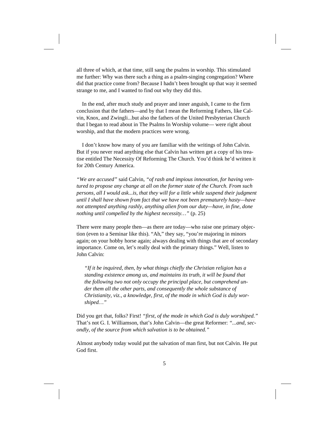all three of which, at that time, still sang the psalms in worship. This stimulated me further: Why was there such a thing as a psalm-singing congregation? Where did that practice come from? Because I hadn't been brought up that way it seemed strange to me, and I wanted to find out why they did this.

In the end, after much study and prayer and inner anguish, I came to the firm conclusion that the fathers—and by that I mean the Reforming Fathers, like Calvin, Knox, and Zwingli...but also the fathers of the United Presbyterian Church that I began to read about in The Psalms In Worship volume— were right about worship, and that the modern practices were wrong.

I don't know how many of you are familiar with the writings of John Calvin. But if you never read anything else that Calvin has written get a copy of his treatise entitled The Necessity Of Reforming The Church. You'd think he'd written it for 20th Century America.

*"We are accused"* said Calvin, *"of rash and impious innovation, for having ventured to propose any change at all on the former state of the Church. From such persons, all I would ask...is, that they will for a little while suspend their judgment until I shall have shown from fact that we have not been prematurely hasty—have not attempted anything rashly, anything alien from our duty—have, in fine, done nothing until compelled by the highest necessity…"* (p. 25)

There were many people then—as there are today—who raise one primary objection (even to a Seminar like this). "Ah," they say, "you're majoring in minors again; on your hobby horse again; always dealing with things that are of secondary importance. Come on, let's really deal with the primary things." Well, listen to John Calvin:

*"If it be inquired, then, by what things chiefly the Christian religion has a standing existence among us, and maintains its truth, it will be found that the following two not only occupy the principal place, but comprehend under them all the other parts, and consequently the whole substance of Christianity, viz., a knowledge, first, of the mode in which God is duly worshiped…"*

Did you get that, folks? First! *"first, of the mode in which God is duly worshiped."* That's not G. I. Williamson, that's John Calvin—the great Reformer: *"...and, secondly, of the source from which salvation is to be obtained."*

Almost anybody today would put the salvation of man first, but not Calvin. He put God first.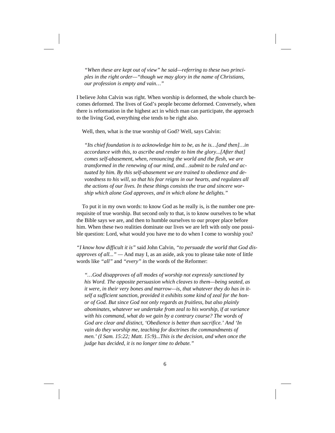*"When these are kept out of view" he said—referring to these two principles in the right order—"though we may glory in the name of Christians, our profession is empty and vain…"*

I believe John Calvin was right. When worship is deformed, the whole church becomes deformed. The lives of God's people become deformed. Conversely, when there is reformation in the highest act in which man can participate, the approach to the living God, everything else tends to be right also.

Well, then, what is the true worship of God? Well, says Calvin:

*"Its chief foundation is to acknowledge him to be, as he is…[and then]…in accordance with this, to ascribe and render to him the glory...[After that] comes self-abasement, when, renouncing the world and the flesh, we are transformed in the renewing of our mind, and…submit to be ruled and actuated by him. By this self-abasement we are trained to obedience and devotedness to his will, so that his fear reigns in our hearts, and regulates all the actions of our lives. In these things consists the true and sincere worship which alone God approves, and in which alone he delights."*

To put it in my own words: to know God as he really is, is the number one prerequisite of true worship. But second only to that, is to know ourselves to be what the Bible says we are, and then to humble ourselves to our proper place before him. When these two realities dominate our lives we are left with only one possible question: Lord, what would you have me to do when I come to worship you?

*"I know how difficult it is"* said John Calvin, *"to persuade the world that God disapproves of all..." —* And may I, as an aside, ask you to please take note of little words like *"all"* and *"every" i*n the words of the Reformer:

*"…God disapproves of all modes of worship not expressly sanctioned by his Word. The opposite persuasion which cleaves to them—being seated, as it were, in their very bones and marrow—is, that whatever they do has in itself a sufficient sanction, provided it exhibits some kind of zeal for the honor of God. But since God not only regards as fruitless, but also plainly abominates, whatever we undertake from zeal to his worship, if at variance with his command, what do we gain by a contrary course? The words of God are clear and distinct, 'Obedience is better than sacrifice.' And 'In vain do they worship me, teaching for doctrines the commandments of men.' (I Sam. 15:22; Matt. 15:9)...This is the decision, and when once the judge has decided, it is no longer time to debate."*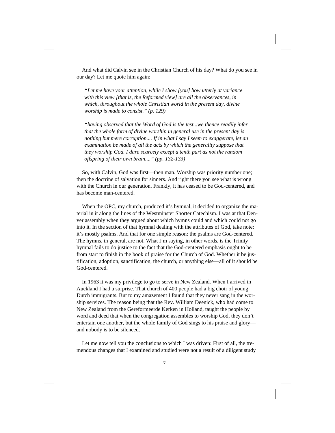And what did Calvin see in the Christian Church of his day? What do you see in our day? Let me quote him again:

*"Let me have your attention, while I show [you] how utterly at variance with this view [that is, the Reformed view] are all the observances, in which, throughout the whole Christian world in the present day, divine worship is made to consist." (p. 129)*

*"having observed that the Word of God is the test...we thence readily infer that the whole form of divine worship in general use in the present day is nothing but mere corruption.... If in what I say I seem to exaggerate, let an examination be made of all the acts by which the generality suppose that they worship God. I dare scarcely except a tenth part as not the random offspring of their own brain...." (pp. 132-133)*

So, with Calvin, God was first—then man. Worship was priority number one; then the doctrine of salvation for sinners. And right there you see what is wrong with the Church in our generation. Frankly, it has ceased to be God-centered, and has become man-centered.

When the OPC, my church, produced it's hymnal, it decided to organize the material in it along the lines of the Westminster Shorter Catechism. I was at that Denver assembly when they argued about which hymns could and which could not go into it. In the section of that hymnal dealing with the attributes of God, take note: it's mostly psalms. And that for one simple reason: the psalms are God-centered. The hymns, in general, are not. What I'm saying, in other words, is the Trinity hymnal fails to do justice to the fact that the God-centered emphasis ought to be from start to finish in the book of praise for the Church of God. Whether it be justification, adoption, sanctification, the church, or anything else—all of it should be God-centered.

In 1963 it was my privilege to go to serve in New Zealand. When I arrived in Auckland I had a surprise. That church of 400 people had a big choir of young Dutch immigrants. But to my amazement I found that they never sang in the worship services. The reason being that the Rev. William Deenick, who had come to New Zealand from the Gereformeerde Kerken in Holland, taught the people by word and deed that when the congregation assembles to worship God, they don't entertain one another, but the whole family of God sings to his praise and glory and nobody is to be silenced.

Let me now tell you the conclusions to which I was driven: First of all, the tremendous changes that I examined and studied were not a result of a diligent study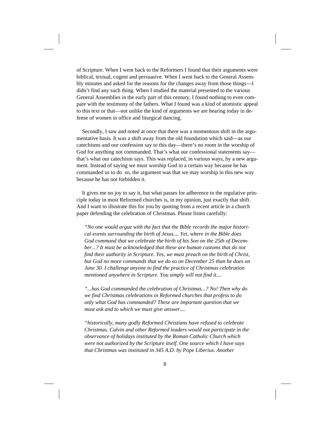of Scripture. When I went back to the Reformers I found that their arguments were biblical, textual, cogent and persuasive. When I went back to the General Assembly minutes and asked for the reasons for the changes away from those things—I didn't find any such thing. When I studied the material presented to the various General Assemblies in the early part of this century, I found nothing to even compare with the testimony of the fathers. What I found was a kind of atomistic appeal to this text or that—not unlike the kind of arguments we are hearing today in defense of women in office and liturgical dancing.

Secondly, I saw and noted at once that there was a momentous shift in the argumentative basis. It was a shift away from the old foundation which said—as our catechisms and our confession say to this day—there's no room in the worship of God for anything not commanded. That's what our confessional statements say that's what our catechism says. This was replaced, in various ways, by a new argument. Instead of saying we must worship God in a certain way because he has commanded us to do so, the argument was that we may worship in this new way because he has not forbidden it.

It gives me no joy to say it, but what passes for adherence to the regulative principle today in most Reformed churches is, in my opinion, just exactly that shift. And I want to illustrate this for you by quoting from a recent article in a church paper defending the celebration of Christmas. Please listen carefully:

*"No one would argue with the fact that the Bible records the major historical events surrounding the birth of Jesus.... Yet, where in the Bible does God command that we celebrate the birth of his Son on the 25th of December...? It must be acknowledged that these are human customs that do not find their authority in Scripture. Yes, we must preach on the birth of Christ, but God no more commands that we do so on December 25 than he does on June 30. I challenge anyone to find the practice of Christmas celebration mentioned anywhere in Scripture. You simply will not find it....*

*"...has God commanded the celebration of Christmas...? No! Then why do we find Christmas celebrations in Reformed churches that profess to do only what God has commanded? These are important question that we must ask and to which we must give answer....*

*"historically, many godly Reformed Christians have refused to celebrate Christmas. Calvin and other Reformed leaders would not participate in the observance of holidays instituted by the Roman Catholic Church which were not authorized by the Scripture itself. One source which I have says that Christmas was instituted in 345 A.D. by Pope Liberius. Another*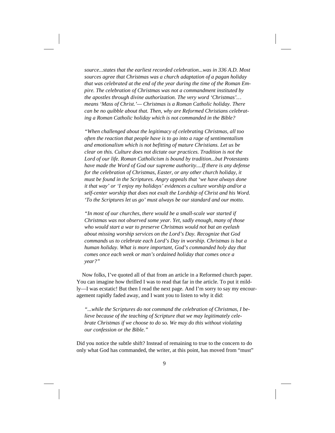*source...states that the earliest recorded celebration...was in 336 A.D. Most sources agree that Christmas was a church adaptation of a pagan holiday that was celebrated at the end of the year during the time of the Roman Empire. The celebration of Christmas was not a commandment instituted by the apostles through divine authorization. The very word 'Christmas'… means 'Mass of Christ.'— Christmas is a Roman Catholic holiday. There can be no quibble about that. Then, why are Reformed Christians celebrating a Roman Catholic holiday which is not commanded in the Bible?*

*"When challenged about the legitimacy of celebrating Christmas, all too often the reaction that people have is to go into a rage of sentimentalism and emotionalism which is not befitting of mature Christians. Let us be clear on this. Culture does not dictate our practices. Tradition is not the Lord of our life. Roman Catholicism is bound by tradition...but Protestants have made the Word of God our supreme authority....If there is any defense for the celebration of Christmas, Easter, or any other church holiday, it must be found in the Scriptures. Angry appeals that 'we have always done it that way' or 'I enjoy my holidays' evidences a culture worship and/or a self-center worship that does not exalt the Lordship of Christ and his Word. 'To the Scriptures let us go' must always be our standard and our motto.*

*"In most of our churches, there would be a small-scale war started if Christmas was not observed some year. Yet, sadly enough, many of those who would start a war to preserve Christmas would not bat an eyelash about missing worship services on the Lord's Day. Recognize that God commands us to celebrate each Lord's Day in worship. Christmas is but a human holiday. What is more important, God's commanded holy day that comes once each week or man's ordained holiday that comes once a year?"*

Now folks, I've quoted all of that from an article in a Reformed church paper. You can imagine how thrilled I was to read that far in the article. To put it mildly—I was ecstatic! But then I read the next page. And I'm sorry to say my encouragement rapidly faded away, and I want you to listen to why it did:

*"...while the Scriptures do not command the celebration of Christmas, I believe because of the teaching of Scripture that we may legitimately celebrate Christmas if we choose to do so. We may do this without violating our confession or the Bible."*

Did you notice the subtle shift? Instead of remaining to true to the concern to do only what God has commanded, the writer, at this point, has moved from "must"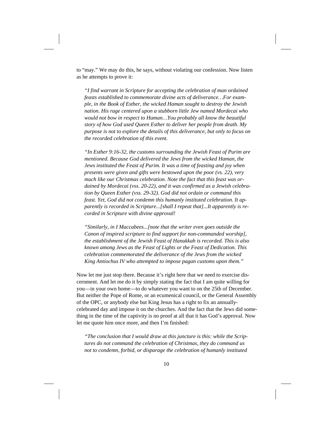to "may." We may do this, he says, without violating our confession. Now listen as he attempts to prove it:

*"I find warrant in Scripture for accepting the celebration of man ordained feasts established to commemorate divine acts of deliverance…For example, in the Book of Esther, the wicked Haman sought to destroy the Jewish nation. His rage centered upon a stubborn little Jew named Mordecai who would not bow in respect to Haman…You probably all know the beautiful story of how God used Queen Esther to deliver her people from death. My purpose is not to explore the details of this deliverance, but only to focus on the recorded celebration of this event.*

*"In Esther 9:16-32, the customs surrounding the Jewish Feast of Purim are mentioned. Because God delivered the Jews from the wicked Haman, the Jews instituted the Feast of Purim. It was a time of feasting and joy when presents were given and gifts were bestowed upon the poor (vs. 22), very much like our Christmas celebration. Note the fact that this feast was ordained by Mordecai (vss. 20-22), and it was confirmed as a Jewish celebration by Queen Esther (vss. 29-32). God did not ordain or command this feast. Yet, God did not condemn this humanly instituted celebration. It apparently is recorded in Scripture...[shall I repeat that]...It apparently is recorded in Scripture with divine approval!*

*"Similarly, in I Maccabees...[note that the writer even goes outside the Canon of inspired scripture to find support for non-commanded worship], the establishment of the Jewish Feast of Hanukkah is recorded. This is also known among Jews as the Feast of Lights or the Feast of Dedication. This celebration commemorated the deliverance of the Jews from the wicked King Antiochus IV who attempted to impose pagan customs upon them."*

Now let me just stop there. Because it's right here that we need to exercise discernment. And let me do it by simply stating the fact that I am quite willing for you—in your own home—to do whatever you want to on the 25th of December. But neither the Pope of Rome, or an ecumenical council, or the General Assembly of the OPC, or anybody else but King Jesus has a right to fix an annuallycelebrated day and impose it on the churches. And the fact that the Jews did something in the time of the captivity is no proof at all that it has God's approval. Now let me quote him once more, and then I'm finished:

*"The conclusion that I would draw at this juncture is this: while the Scriptures do not command the celebration of Christmas, they do command us not to condemn, forbid, or disparage the celebration of humanly instituted*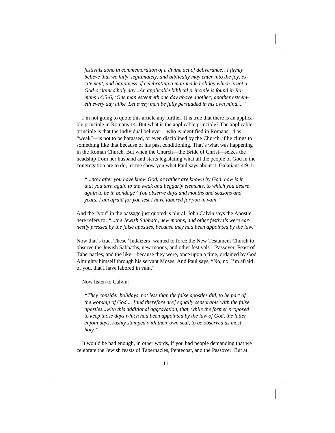*festivals done in commemoration of a divine act of deliverance…I firmly believe that we fully, legitimately, and biblically may enter into the joy, excitement, and happiness of celebrating a man-made holiday which is not a God-ordained holy day...An applicable biblical principle is found in Romans 14:5-6, 'One man esteemeth one day above another; another esteemeth every day alike. Let every man be fully persuaded in his own mind....'"* 

I'm not going to quote this article any further. It is true that there is an applicable principle in Romans 14. But what is the applicable principle? The applicable principle is that the individual believer—who is identified in Romans 14 as "weak"—is not to be harassed, or even disciplined by the Church, if he clings to something like that because of his past conditioning. That's what was happening in the Roman Church. But when the Church—the Bride of Christ—seizes the headship from her husband and starts legislating what all the people of God in the congregation are to do, let me show you what Paul says about it. Galatians 4:9-11:

*"...now after you have know God, or rather are known by God, how is it that you turn again to the weak and beggarly elements, to which you desire again to be in bondage? You observe days and months and seasons and years. I am afraid for you lest I have labored for you in vain."*

And the "you" in the passage just quoted is plural. John Calvin says the Apostle here refers to: *"...the Jewish Sabbath, new moons, and other festivals were earnestly pressed by the false apostles, because they had been appointed by the law."*

Now that's true. These 'Judaizers' wanted to force the New Testament Church to observe the Jewish Sabbaths, new moons, and other festivals—Passover, Feast of Tabernacles, and the like—because they were, once upon a time, ordained by God Almighty himself through his servant Moses. And Paul says, "No, no. I'm afraid of you, that I have labored in vain."

### Now listen to Calvin:

*"They consider holidays, not less than the false apostles did, to be part of the worship of God.... [and therefore are] equally censurable with the false apostles...with this additional aggravation, that, while the former proposed to keep those days which had been appointed by the law of God, the latter enjoin days, rashly stamped with their own seal, to be observed as most holy."*

It would be bad enough, in other words, if you had people demanding that we celebrate the Jewish feasts of Tabernacles, Pentecost, and the Passover. But at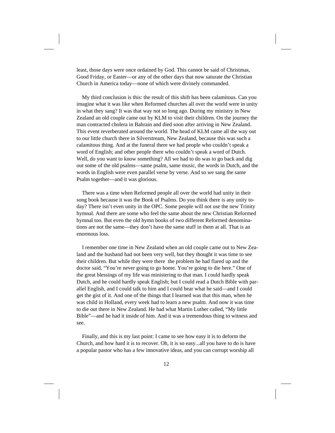least, those days were once ordained by God. This cannot be said of Christmas, Good Friday, or Easter—or any of the other days that now saturate the Christian Church in America today—none of which were divinely commanded.

My third conclusion is this: the result of this shift has been calamitous. Can you imagine what it was like when Reformed churches all over the world were in unity in what they sang? It was that way not so long ago. During my ministry in New Zealand an old couple came out by KLM to visit their children. On the journey the man contracted cholera in Bahrain and died soon after arriving in New Zealand. This event reverberated around the world. The head of KLM came all the way out to our little church there in Silverstream, New Zealand, because this was such a calamitous thing. And at the funeral there we had people who couldn't speak a word of English; and other people there who couldn't speak a word of Dutch. Well, do you want to know something? All we had to do was to go back and dig out some of the old psalms—same psalm, same music, the words in Dutch, and the words in English were even parallel verse by verse. And so we sang the same Psalm together—and it was glorious.

There was a time when Reformed people all over the world had unity in their song book because it was the Book of Psalms. Do you think there is any unity today? There isn't even unity in the OPC. Some people will not use the new Trinity hymnal. And there are some who feel the same about the new Christian Reformed hymnal too. But even the old hymn books of two different Reformed denominations are not the same—they don't have the same stuff in them at all. That is an enormous loss.

I remember one time in New Zealand when an old couple came out to New Zealand and the husband had not been very well, but they thought it was time to see their children. But while they were there the problem he had flared up and the doctor said, "You're never going to go home. You're going to die here." One of the great blessings of my life was ministering to that man. I could hardly speak Dutch, and he could hardly speak English; but I could read a Dutch Bible with parallel English, and I could talk to him and I could hear what he said—and I could get the gist of it. And one of the things that I learned was that this man, when he was child in Holland, every week had to learn a new psalm. And now it was time to die out there in New Zealand. He had what Martin Luther called, "My little Bible"—and he had it inside of him. And it was a tremendous thing to witness and see.

Finally, and this is my last point: I came to see how easy it is to deform the Church, and how hard it is to recover. Oh, it is so easy...all you have to do is have a popular pastor who has a few innovative ideas, and you can corrupt worship all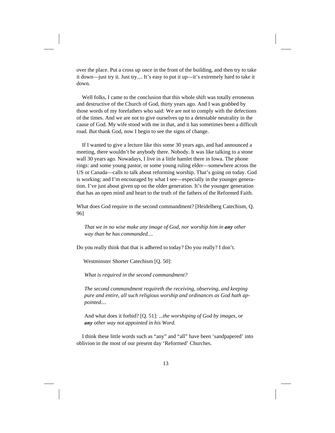over the place. Put a cross up once in the front of the building, and then try to take it down—just try it. Just try.... It's easy to put it up—it's extremely hard to take it down.

Well folks, I came to the conclusion that this whole shift was totally erroneous and destructive of the Church of God, thirty years ago. And I was grabbed by those words of my forefathers who said: We are not to comply with the defections of the times. And we are not to give ourselves up to a detestable neutrality in the cause of God. My wife stood with me in that, and it has sometimes been a difficult road. But thank God, now I begin to see the signs of change.

If I wanted to give a lecture like this some 30 years ago, and had announced a meeting, there wouldn't be anybody there. Nobody. It was like talking to a stone wall 30 years ago. Nowadays, I live in a little hamlet there in Iowa. The phone rings: and some young pastor, or some young ruling elder—somewhere across the US or Canada—calls to talk about reforming worship. That's going on today. God is working; and I'm encouraged by what I see—especially in the younger generation. I've just about given up on the older generation. It's the younger generation that has an open mind and heart to the truth of the fathers of the Reformed Faith.

What does God require in the second commandment? [Heidelberg Catechism, Q. 96]

*That we in no wise make any image of God, nor worship him in any other way than he has commanded....*

Do you really think that that is adhered to today? Do you really? I don't.

Westminster Shorter Catechism [Q. 50]:

*What is required in the second commandment?*

*The second commandment requireth the receiving, observing, and keeping pure and entire, all such religious worship and ordinances as God hath appointed....*

And what does it forbid? [Q. 51]: *...the worshiping of God by images, or any other way not appointed in his Word.*

I think these little words such as "any" and "all" have been 'sandpapered' into oblivion in the most of our present day 'Reformed' Churches.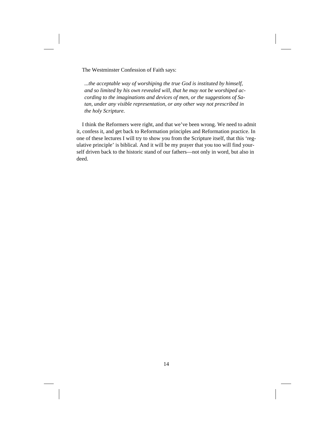The Westminster Confession of Faith says:

*...the acceptable way of worshiping the true God is instituted by himself, and so limited by his own revealed will, that he may not be worshiped according to the imaginations and devices of men, or the suggestions of Satan, under any visible representation, or any other way not prescribed in the holy Scripture.*

I think the Reformers were right, and that we've been wrong. We need to admit it, confess it, and get back to Reformation principles and Reformation practice. In one of these lectures I will try to show you from the Scripture itself, that this 'regulative principle' is biblical. And it will be my prayer that you too will find yourself driven back to the historic stand of our fathers—not only in word, but also in deed.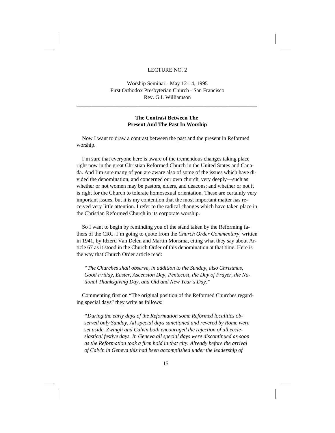#### LECTURE NO. 2

Worship Seminar - May 12-14, 1995 First Orthodox Presbyterian Church - San Francisco Rev. G.I. Williamson

\_\_\_\_\_\_\_\_\_\_\_\_\_\_\_\_\_\_\_\_\_\_\_\_\_\_\_\_\_\_\_\_\_\_\_\_\_\_\_\_\_\_\_\_\_\_\_\_\_\_\_\_\_\_\_\_\_\_\_\_\_\_\_\_\_\_

## **The Contrast Between The Present And The Past In Worship**

Now I want to draw a contrast between the past and the present in Reformed worship.

I'm sure that everyone here is aware of the tremendous changes taking place right now in the great Christian Reformed Church in the United States and Canada. And I'm sure many of you are aware also of some of the issues which have divided the denomination, and concerned our own church, very deeply—such as whether or not women may be pastors, elders, and deacons; and whether or not it is right for the Church to tolerate homosexual orientation. These are certainly very important issues, but it is my contention that the most important matter has received very little attention. I refer to the radical changes which have taken place in the Christian Reformed Church in its corporate worship.

So I want to begin by reminding you of the stand taken by the Reforming fathers of the CRC. I'm going to quote from the *Church Order Commentary,* written in 1941, by Idzerd Van Delen and Martin Monsma, citing what they say about Article 67 as it stood in the Church Order of this denomination at that time. Here is the way that Church Order article read:

*"The Churches shall observe, in addition to the Sunday, also Christmas, Good Friday, Easter, Ascension Day, Pentecost, the Day of Prayer, the National Thanksgiving Day, and Old and New Year's Day."*

Commenting first on "The original position of the Reformed Churches regarding special days" they write as follows:

*"During the early days of the Reformation some Reformed localities observed only Sunday. All special days sanctioned and revered by Rome were set aside. Zwingli and Calvin both encouraged the rejection of all ecclesiastical festive days. In Geneva all special days were discontinued as soon as the Reformation took a firm hold in that city. Already before the arrival of Calvin in Geneva this had been accomplished under the leadership of*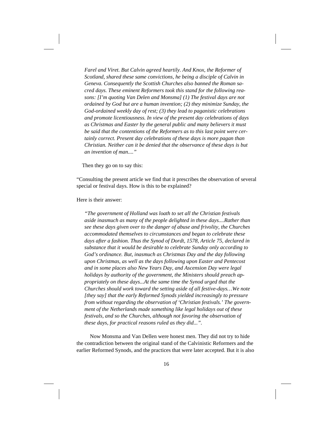*Farel and Viret. But Calvin agreed heartily. And Knox, the Reformer of Scotland, shared these same convictions, he being a disciple of Calvin in Geneva. Consequently the Scottish Churches also banned the Roman sacred days. These eminent Reformers took this stand for the following reasons: [I'm quoting Van Delen and Monsma] (1) The festival days are not ordained by God but are a human invention; (2) they minimize Sunday, the God-ordained weekly day of rest; (3) they lead to paganistic celebrations and promote licentiousness. In view of the present day celebrations of days as Christmas and Easter by the general public and many believers it must be said that the contentions of the Reformers as to this last point were certainly correct. Present day celebrations of these days is more pagan than Christian. Neither can it be denied that the observance of these days is but an invention of man...."*

Then they go on to say this:

"Consulting the present article we find that it prescribes the observation of several special or festival days. How is this to be explained?

Here is their answer:

*"The government of Holland was loath to set all the Christian festivals aside inasmuch as many of the people delighted in these days....Rather than see these days given over to the danger of abuse and frivolity, the Churches accommodated themselves to circumstances and began to celebrate these days after a fashion. Thus the Synod of Dordt, 1578, Article 75, declared in substance that it would be desirable to celebrate Sunday only according to God's ordinance. But, inasmuch as Christmas Day and the day following upon Christmas, as well as the days following upon Easter and Pentecost and in some places also New Years Day, and Ascension Day were legal holidays by authority of the government, the Ministers should preach appropriately on these days...At the same time the Synod urged that the Churches should work toward the setting aside of all festive-days…We note [they say] that the early Reformed Synods yielded increasingly to pressure from without regarding the observation of 'Christian festivals.' The government of the Netherlands made something like legal holidays out of these festivals, and so the Churches, although not favoring the observation of these days, for practical reasons ruled as they did...".*

Now Monsma and Van Dellen were honest men. They did not try to hide the contradiction between the original stand of the Calvinistic Reformers and the earlier Reformed Synods, and the practices that were later accepted. But it is also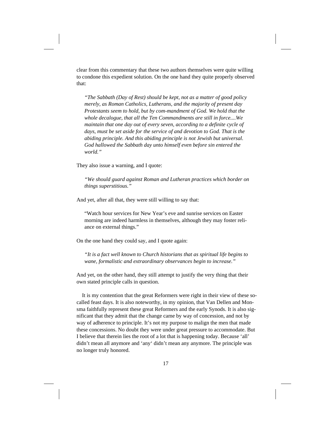clear from this commentary that these two authors themselves were quite willing to condone this expedient solution. On the one hand they quite properly observed that:

*"The Sabbath (Day of Rest) should be kept, not as a matter of good policy merely, as Roman Catholics, Lutherans, and the majority of present day Protestants seem to hold, but by com-mandment of God. We hold that the whole decalogue, that all the Ten Commandments are still in force....We maintain that one day out of every seven, according to a definite cycle of days, must be set aside for the service of and devotion to God. That is the abiding principle. And this abiding principle is not Jewish but universal. God hallowed the Sabbath day unto himself even before sin entered the world."*

They also issue a warning, and I quote:

*"We should guard against Roman and Lutheran practices which border on things superstitious."*

And yet, after all that, they were still willing to say that:

"Watch hour services for New Year's eve and sunrise services on Easter morning are indeed harmless in themselves, although they may foster reliance on external things."

On the one hand they could say, and I quote again:

*"It is a fact well known to Church historians that as spiritual life begins to wane, formalistic and extraordinary observances begin to increase."*

And yet, on the other hand, they still attempt to justify the very thing that their own stated principle calls in question.

It is my contention that the great Reformers were right in their view of these socalled feast days. It is also noteworthy, in my opinion, that Van Dellen and Monsma faithfully represent these great Reformers and the early Synods. It is also significant that they admit that the change came by way of concession, and not by way of adherence to principle. It's not my purpose to malign the men that made these concessions. No doubt they were under great pressure to accommodate. But I believe that therein lies the root of a lot that is happening today. Because 'all' didn't mean all anymore and 'any' didn't mean any anymore. The principle was no longer truly honored.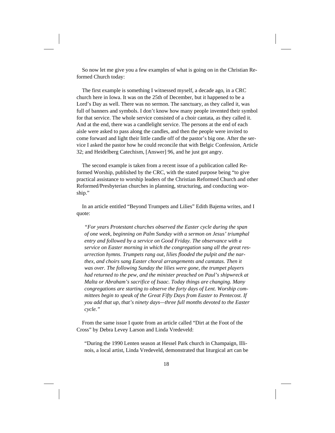So now let me give you a few examples of what is going on in the Christian Reformed Church today:

The first example is something I witnessed myself, a decade ago, in a CRC church here in Iowa. It was on the 25th of December, but it happened to be a Lord's Day as well. There was no sermon. The sanctuary, as they called it, was full of banners and symbols. I don't know how many people invented their symbol for that service. The whole service consisted of a choir cantata, as they called it. And at the end, there was a candlelight service. The persons at the end of each aisle were asked to pass along the candles, and then the people were invited to come forward and light their little candle off of the pastor's big one. After the service I asked the pastor how he could reconcile that with Belgic Confession, Article 32; and Heidelberg Catechism, [Answer] 96, and he just got angry.

The second example is taken from a recent issue of a publication called Reformed Worship, published by the CRC, with the stated purpose being "to give practical assistance to worship leaders of the Christian Reformed Church and other Reformed/Presbyterian churches in planning, structuring, and conducting worship."

In an article entitled "Beyond Trumpets and Lilies" Edith Bajema writes, and I quote:

*"For years Protestant churches observed the Easter cycle during the span of one week, beginning on Palm Sunday with a sermon on Jesus' triumphal entry and followed by a service on Good Friday. The observance with a service on Easter morning in which the congregation sang all the great resurrection hymns. Trumpets rang out, lilies flooded the pulpit and the narthex, and choirs sang Easter choral arrangements and cantatas. Then it was over. The following Sunday the lilies were gone, the trumpet players had returned to the pew, and the minister preached on Paul's shipwreck at Malta or Abraham's sacrifice of Isaac. Today things are changing. Many congregations are starting to observe the forty days of Lent. Worship committees begin to speak of the Great Fifty Days from Easter to Pentecost. If you add that up, that's ninety days—three full months devoted to the Easter cycle."*

From the same issue I quote from an article called "Dirt at the Foot of the Cross" by Debra Levey Larson and Linda Vredeveld:

"During the 1990 Lenten season at Hessel Park church in Champaign, Illinois, a local artist, Linda Vredeveld, demonstrated that liturgical art can be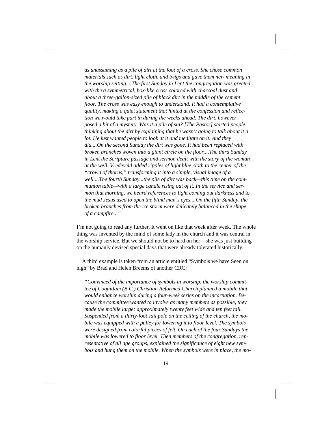*as unassuming as a pile of dirt at the foot of a cross. She chose common materials such as dirt, light cloth, and twigs and gave them new meaning in the worship setting....The first Sunday in Lent the congregation was greeted with the a symmetrical, box-like cross colored with charcoal dust and about a three-gallon-sized pile of black dirt in the middle of the cement floor. The cross was easy enough to understand. It had a contemplative quality, making a quiet statement that hinted at the confession and reflection we would take part in during the weeks ahead. The dirt, however, posed a bit of a mystery. Was it a pile of sin? [The Pastor] started people thinking about the dirt by explaining that he wasn't going to talk about it a lot. He just wanted people to look at it and meditate on it. And they did....On the second Sunday the dirt was gone. It had been replaced with broken branches woven into a giant circle on the floor....The third Sunday in Lent the Scripture passage and sermon dealt with the story of the woman at the well. Vredeveld added ripples of light blue cloth to the center of the "crown of thorns," transforming it into a simple, visual image of a well....The fourth Sunday...the pile of dirt was back—this time on the communion table—with a large candle rising out of it. In the service and sermon that morning, we heard references to light coming out darkness and to the mud Jesus used to open the blind man's eyes....On the fifth Sunday, the broken branches from the ice storm were delicately balanced in the shape of a campfire..."*

I'm not going to read any further. It went on like that week after week. The whole thing was invented by the mind of some lady in the church and it was central in the worship service. But we should not be to hard on her—she was just building on the humanly devised special days that were already tolerated historically.

A third example is taken from an article entitled "Symbols we have Seen on high" by Brad and Helen Breems of another CRC:

*"Convinced of the importance of symbols in worship, the worship committee of Coquitlam (B.C.) Christian Reformed Church planned a mobile that would enhance worship during a four-week series on the incarnation. Because the committee wanted to involve as many members as possible, they made the mobile large: approximately twenty feet wide and ten feet tall. Suspended from a thirty-foot sail pole on the ceiling of the church, the mobile was equipped with a pulley for lowering it to floor level. The symbols were designed from colorful pieces of felt. On each of the four Sundays the mobile was lowered to floor level. Then members of the congregation, representative of all age groups, explained the significance of eight new symbols and hung them on the mobile. When the symbols were in place, the mo-*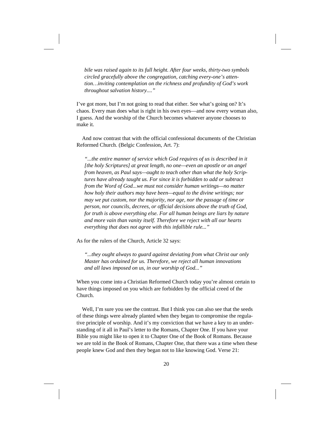*bile was raised again to its full height. After four weeks, thirty-two symbols circled gracefully above the congregation, catching every-one's attention…inviting contemplation on the richness and profundity of God's work throughout salvation history...."*

I've got more, but I'm not going to read that either. See what's going on? It's chaos. Every man does what is right in his own eyes—and now every woman also, I guess. And the worship of the Church becomes whatever anyone chooses to make it.

And now contrast that with the official confessional documents of the Christian Reformed Church. (Belgic Confession, Art. 7):

*"...the entire manner of service which God requires of us is described in it [the holy Scriptures] at great length, no one—even an apostle or an angel from heaven, as Paul says—ought to teach other than what the holy Scriptures have already taught us. For since it is forbidden to add or subtract from the Word of God...we must not consider human writings—no matter how holy their authors may have been—equal to the divine writings; nor may we put custom, nor the majority, nor age, nor the passage of time or person, nor councils, decrees, or official decisions above the truth of God, for truth is above everything else. For all human beings are liars by nature and more vain than vanity itself. Therefore we reject with all our hearts everything that does not agree with this infallible rule..."*

As for the rulers of the Church, Article 32 says:

*"...they ought always to guard against deviating from what Christ our only Master has ordained for us. Therefore, we reject all human innovations and all laws imposed on us, in our worship of God..."*

When you come into a Christian Reformed Church today you're almost certain to have things imposed on you which are forbidden by the official creed of the Church.

Well, I'm sure you see the contrast. But I think you can also see that the seeds of these things were already planted when they began to compromise the regulative principle of worship. And it's my conviction that we have a key to an understanding of it all in Paul's letter to the Romans, Chapter One. If you have your Bible you might like to open it to Chapter One of the Book of Romans. Because we are told in the Book of Romans, Chapter One, that there was a time when these people knew God and then they began not to like knowing God. Verse 21: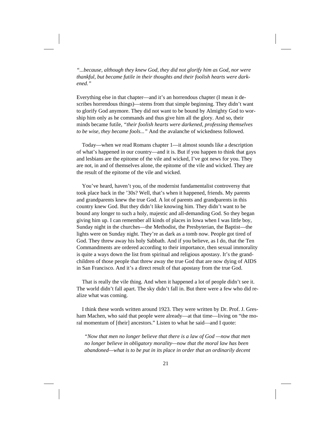*"...because, although they knew God, they did not glorify him as God, nor were thankful, but became futile in their thoughts and their foolish hearts were darkened."*

Everything else in that chapter—and it's an horrendous chapter (I mean it describes horrendous things)—stems from that simple beginning. They didn't want to glorify God anymore. They did not want to be bound by Almighty God to worship him only as he commands and thus give him all the glory. And so, their minds became futile, *"their foolish hearts were darkened, professing themselves to be wise, they became fools..."* And the avalanche of wickedness followed.

Today—when we read Romans chapter 1—it almost sounds like a description of what's happened in our country—and it is. But if you happen to think that gays and lesbians are the epitome of the vile and wicked, I've got news for you. They are not, in and of themselves alone, the epitome of the vile and wicked. They are the result of the epitome of the vile and wicked.

You've heard, haven't you, of the modernist fundamentalist controversy that took place back in the '30s? Well, that's when it happened, friends. My parents and grandparents knew the true God. A lot of parents and grandparents in this country knew God. But they didn't like knowing him. They didn't want to be bound any longer to such a holy, majestic and all-demanding God. So they began giving him up. I can remember all kinds of places in Iowa when I was little boy, Sunday night in the churches—the Methodist, the Presbyterian, the Baptist—the lights were on Sunday night. They're as dark as a tomb now. People got tired of God. They threw away his holy Sabbath. And if you believe, as I do, that the Ten Commandments are ordered according to their importance, then sexual immorality is quite a ways down the list from spiritual and religious apostasy. It's the grandchildren of those people that threw away the true God that are now dying of AIDS in San Francisco. And it's a direct result of that apostasy from the true God.

That is really the vile thing. And when it happened a lot of people didn't see it. The world didn't fall apart. The sky didn't fall in. But there were a few who did realize what was coming.

I think these words written around 1923. They were written by Dr. Prof. J. Gresham Machen, who said that people were already—at that time—living on "the moral momentum of [their] ancestors." Listen to what he said—and I quote:

*"Now that men no longer believe that there is a law of God —now that men no longer believe in obligatory morality—now that the moral law has been abandoned—what is to be put in its place in order that an ordinarily decent*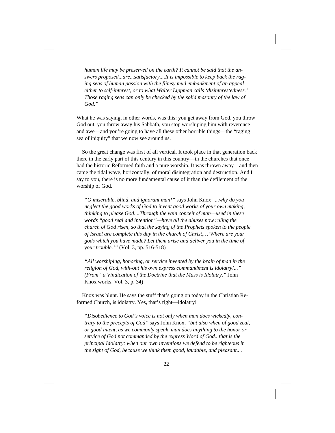*human life may be preserved on the earth? It cannot be said that the answers proposed...are...satisfactory....It is impossible to keep back the raging seas of human passion with the flimsy mud embankment of an appeal either to self-interest, or to what Walter Lippman calls 'disinterestedness.' Those raging seas can only be checked by the solid masonry of the law of God."*

What he was saying, in other words, was this: you get away from God, you throw God out, you throw away his Sabbath, you stop worshiping him with reverence and awe—and you're going to have all these other horrible things—the "raging sea of iniquity" that we now see around us.

So the great change was first of all vertical. It took place in that generation back there in the early part of this century in this country—in the churches that once had the historic Reformed faith and a pure worship. It was thrown away—and then came the tidal wave, horizontally, of moral disintegration and destruction. And I say to you, there is no more fundamental cause of it than the defilement of the worship of God.

*"O miserable, blind, and ignorant man!"* says John Knox "*...why do you neglect the good works of God to invent good works of your own making, thinking to please God....Through the vain conceit of man—used in these words "good zeal and intention"—have all the abuses now ruling the church of God risen, so that the saying of the Prophets spoken to the people of Israel are complete this day in the church of Christ,…'Where are your gods which you have made? Let them arise and deliver you in the time of your trouble.'"* (Vol. 3, pp. 516-518)

*"All worshiping, honoring, or service invented by the brain of man in the religion of God, with-out his own express commandment is idolatry!..." (From "a Vindication of the Doctrine that the Mass is Idolatry."* John Knox works, Vol. 3, p. 34)

Knox was blunt. He says the stuff that's going on today in the Christian Reformed Church, is idolatry. Yes, that's right—idolatry!

*"Disobedience to God's voice is not only when man does wickedly, contrary to the precepts of God"* says John Knox, *"but also when of good zeal, or good intent, as we commonly speak, man does anything to the honor or service of God not commanded by the express Word of God...that is the principal Idolatry: when our own inventions we defend to be righteous in the sight of God, because we think them good, laudable, and pleasant....*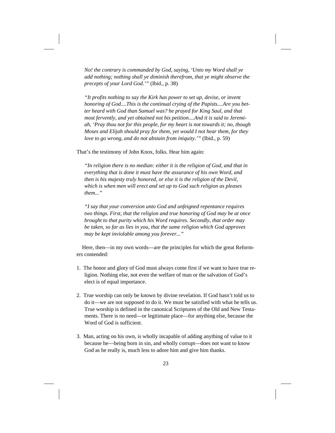*No! the contrary is commanded by God, saying, 'Unto my Word shall ye add nothing; nothing shall ye diminish therefrom, that ye might observe the precepts of your Lord God.'"* (Ibid., p. 38)

*"It profits nothing to say the Kirk has power to set up, devise, or invent honoring of God....This is the continual crying of the Papists....Are you better heard with God than Samuel was? he prayed for King Saul, and that most fervently, and yet obtained not his petition....And it is said to Jeremiah, 'Pray thou not for this people, for my heart is not towards it; no, though Moses and Elijah should pray for them, yet would I not hear them, for they love to go wrong, and do not abstain from iniquity.'"* (Ibid., p. 59)

That's the testimony of John Knox, folks. Hear him again:

*"In religion there is no median: either it is the religion of God, and that in everything that is done it must have the assurance of his own Word, and then is his majesty truly honored, or else it is the religion of the Devil, which is when men will erect and set up to God such religion as pleases them..."*

*"I say that your conversion unto God and unfeigned repentance requires two things. First, that the religion and true honoring of God may be at once brought to that purity which his Word requires. Secondly, that order may be taken, so far as lies in you, that the same religion which God approves may be kept inviolable among you forever..."*

Here, then—in my own words—are the principles for which the great Reformers contended:

- 1. The honor and glory of God must always come first if we want to have true religion. Nothing else, not even the welfare of man or the salvation of God's elect is of equal importance.
- 2. True worship can only be known by divine revelation. If God hasn't told us to do it—we are not supposed to do it. We must be satisfied with what he tells us. True worship is defined in the canonical Scriptures of the Old and New Testaments. There is no need—or legitimate place—for anything else, because the Word of God is sufficient.
- 3. Man, acting on his own, is wholly incapable of adding anything of value to it because he—being born in sin, and wholly corrupt—does not want to know God as he really is, much less to adore him and give him thanks.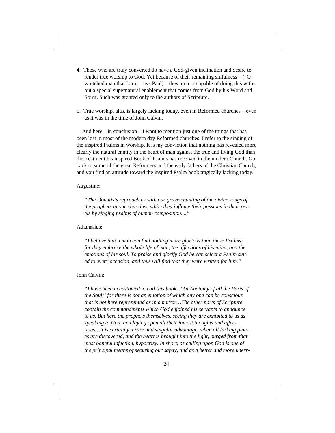- 4. Those who are truly converted do have a God-given inclination and desire to render true worship to God. Yet because of their remaining sinfulness—("O wretched man that I am," says Paul)—they are not capable of doing this without a special supernatural enablement that comes from God by his Word and Spirit. Such was granted only to the authors of Scripture.
- 5. True worship, alas, is largely lacking today, even in Reformed churches—even as it was in the time of John Calvin.

And here—in conclusion—I want to mention just one of the things that has been lost in most of the modern day Reformed churches. I refer to the singing of the inspired Psalms in worship. It is my conviction that nothing has revealed more clearly the natural enmity in the heart of man against the true and living God than the treatment his inspired Book of Psalms has received in the modern Church. Go back to some of the great Reformers and the early fathers of the Christian Church, and you find an attitude toward the inspired Psalm book tragically lacking today.

## Augustine:

*"The Donatists reproach us with our grave chanting of the divine songs of the prophets in our churches, while they inflame their passions in their revels by singing psalms of human composition...."*

### Athanasius:

*"I believe that a man can find nothing more glorious than these Psalms; for they embrace the whole life of man, the affections of his mind, and the emotions of his soul. To praise and glorify God he can select a Psalm suited to every occasion, and thus will find that they were written for him."*

## John Calvin:

*"I have been accustomed to call this book...'An Anatomy of all the Parts of the Soul;' for there is not an emotion of which any one can be conscious that is not here represented as in a mirror…The other parts of Scripture contain the commandments which God enjoined his servants to announce to us. But here the prophets themselves, seeing they are exhibited to us as speaking to God, and laying open all their inmost thoughts and affections…It is certainly a rare and singular advantage, when all lurking places are discovered, and the heart is brought into the light, purged from that most baneful infection, hypocrisy. In short, as calling upon God is one of the principal means of securing our safety, and as a better and more unerr-*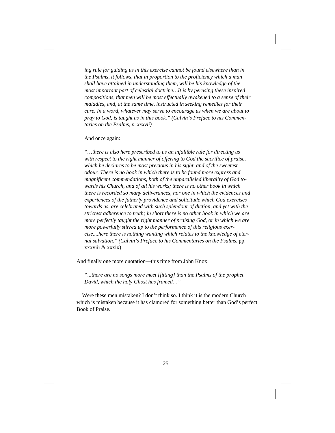*ing rule for guiding us in this exercise cannot be found elsewhere than in the Psalms, it follows, that in proportion to the proficiency which a man shall have attained in understanding them, will be his knowledge of the most important part of celestial doctrine…It is by perusing these inspired compositions, that men will be most effectually awakened to a sense of their maladies, and, at the same time, instructed in seeking remedies for their cure. In a word, whatever may serve to encourage us when we are about to pray to God, is taught us in this book." (Calvin's Preface to his Commentaries on the Psalms, p. xxxvii)*

## And once again:

*"…there is also here prescribed to us an infallible rule for directing us with respect to the right manner of offering to God the sacrifice of praise, which he declares to be most precious in his sight, and of the sweetest odour. There is no book in which there is to be found more express and magnificent commendations, both of the unparalleled liberality of God towards his Church, and of all his works; there is no other book in which there is recorded so many deliverances, nor one in which the evidences and experiences of the fatherly providence and solicitude which God exercises towards us, are celebrated with such splendour of diction, and yet with the strictest adherence to truth; in short there is no other book in which we are more perfectly taught the right manner of praising God, or in which we are more powerfully stirred up to the performance of this religious exercise....here there is nothing wanting which relates to the knowledge of eternal salvation." (Calvin's Preface to his Commentaries on the Psalms,* pp. xxxviii & xxxix)

And finally one more quotation—this time from John Knox:

*"...there are no songs more meet [fitting] than the Psalms of the prophet David, which the holy Ghost has framed…"*

Were these men mistaken? I don't think so. I think it is the modern Church which is mistaken because it has clamored for something better than God's perfect Book of Praise.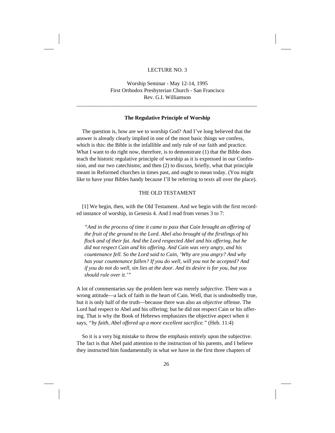#### LECTURE NO. 3

Worship Seminar - May 12-14, 1995 First Orthodox Presbyterian Church - San Francisco Rev. G.I. Williamson

\_\_\_\_\_\_\_\_\_\_\_\_\_\_\_\_\_\_\_\_\_\_\_\_\_\_\_\_\_\_\_\_\_\_\_\_\_\_\_\_\_\_\_\_\_\_\_\_\_\_\_\_\_\_\_\_\_\_\_\_\_\_\_\_\_\_

#### **The Regulative Principle of Worship**

The question is, how are we to worship God? And I've long believed that the answer is already clearly implied in one of the most basic things we confess, which is this: the Bible is the infallible and only rule of our faith and practice. What I want to do right now, therefore, is to demonstrate (1) that the Bible does teach the historic regulative principle of worship as it is expressed in our Confession, and our two catechisms; and then (2) to discuss, briefly, what that principle meant in Reformed churches in times past, and ought to mean today. (You might like to have your Bibles handy because I'll be referring to texts all over the place).

### THE OLD TESTAMENT

[1] We begin, then, with the Old Testament. And we begin with the first recorded instance of worship, in Genesis 4. And I read from verses 3 to 7:

*"And in the process of time it came to pass that Cain brought an offering of the fruit of the ground to the Lord. Abel also brought of the firstlings of his flock and of their fat. And the Lord respected Abel and his offering, but he did not respect Cain and his offering. And Cain was very angry, and his countenance fell. So the Lord said to Cain, 'Why are you angry? And why has your countenance fallen? If you do well, will you not be accepted? And if you do not do well, sin lies at the door. And its desire is for you, but you should rule over it.'"*

A lot of commentaries say the problem here was merely *subjective.* There was a wrong attitude—a lack of faith in the heart of Cain. Well, that is undoubtedly true, but it is only half of the truth—because there was also an *objective* offense. The Lord had respect to Abel and his offering; but he did not respect Cain or his offering. That is why the Book of Hebrews emphasizes the objective aspect when it says, *"by faith, Abel offered up a more excellent sacrifice."* (Heb. 11:4)

So it is a very big mistake to throw the emphasis entirely upon the subjective. The fact is that Abel paid attention to the instruction of his parents, and I believe they instructed him fundamentally in what we have in the first three chapters of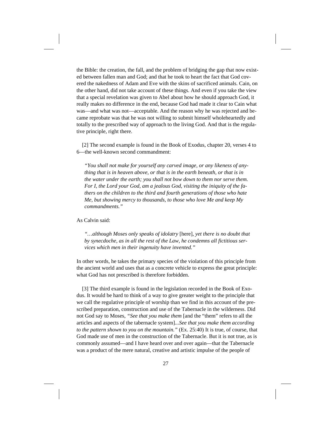the Bible: the creation, the fall, and the problem of bridging the gap that now existed between fallen man and God; and that he took to heart the fact that God covered the nakedness of Adam and Eve with the skins of sacrificed animals. Cain, on the other hand, did not take account of these things. And even if you take the view that a special revelation was given to Abel about how he should approach God, it really makes no difference in the end, because God had made it clear to Cain what was—and what was not—acceptable. And the reason why he was rejected and became reprobate was that he was not willing to submit himself wholeheartedly and totally to the prescribed way of approach to the living God. And that is the regulative principle, right there.

[2] The second example is found in the Book of Exodus, chapter 20, verses 4 to 6—the well-known second commandment:

*"You shall not make for yourself any carved image, or any likeness of anything that is in heaven above, or that is in the earth beneath, or that is in the water under the earth; you shall not bow down to them nor serve them. For I, the Lord your God, am a jealous God, visiting the iniquity of the fathers on the children to the third and fourth generations of those who hate Me, but showing mercy to thousands, to those who love Me and keep My commandments."*

### As Calvin said:

*"…although Moses only speaks of idolatry* [here], *yet there is no doubt that by synecdoche, as in all the rest of the Law, he condemns all fictitious services which men in their ingenuity have invented."*

In other words, he takes the primary species of the violation of this principle from the ancient world and uses that as a concrete vehicle to express the great principle: what God has not prescribed is therefore forbidden.

[3] The third example is found in the legislation recorded in the Book of Exodus. It would be hard to think of a way to give greater weight to the principle that we call the regulative principle of worship than we find in this account of the prescribed preparation, construction and use of the Tabernacle in the wilderness. Did not God say to Moses, *"See that you make them* [and the "them" refers to all the articles and aspects of the tabernacle system]*...See that you make them according to the pattern shown to you on the mountain."* (Ex. 25:40) It is true, of course, that God made use of men in the construction of the Tabernacle. But it is not true, as is commonly assumed—and I have heard over and over again—that the Tabernacle was a product of the mere natural, creative and artistic impulse of the people of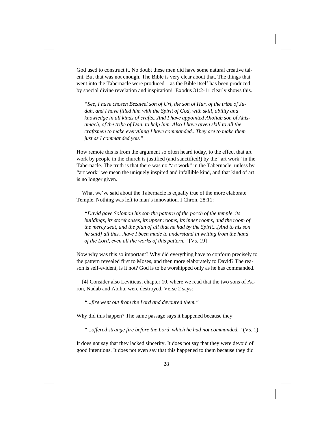God used to construct it. No doubt these men did have some natural creative talent. But that was not enough. The Bible is very clear about that. The things that went into the Tabernacle were produced—as the Bible itself has been produced by special divine revelation and inspiration! Exodus 31:2-11 clearly shows this.

*"See, I have chosen Bezaleel son of Uri, the son of Hur, of the tribe of Judah, and I have filled him with the Spirit of God, with skill, ability and knowledge in all kinds of crafts...And I have appointed Aholiab son of Ahisamach, of the tribe of Dan, to help him. Also I have given skill to all the craftsmen to make everything I have commanded...They are to make them just as I commanded you."*

How remote this is from the argument so often heard today, to the effect that art work by people in the church is justified (and sanctified!) by the "art work" in the Tabernacle. The truth is that there was no "art work" in the Tabernacle, unless by "art work" we mean the uniquely inspired and infallible kind, and that kind of art is no longer given.

What we've said about the Tabernacle is equally true of the more elaborate Temple. Nothing was left to man's innovation. I Chron. 28:11:

*"David gave Solomon his son the pattern of the porch of the temple, its buildings, its storehouses, its upper rooms, its inner rooms, and the room of the mercy seat, and the plan of all that he had by the Spirit...[And to his son he said] all this…have I been made to understand in writing from the hand of the Lord, even all the works of this pattern."* [Vs. 19]

Now why was this so important? Why did everything have to conform precisely to the pattern revealed first to Moses, and then more elaborately to David? The reason is self-evident, is it not? God is to be worshipped only as he has commanded.

[4] Consider also Leviticus, chapter 10, where we read that the two sons of Aaron, Nadab and Abihu, were destroyed. Verse 2 says:

*"...fire went out from the Lord and devoured them."*

Why did this happen? The same passage says it happened because they:

*"...offered strange fire before the Lord, which he had not commanded."* (Vs. 1)

It does not say that they lacked sincerity. It does not say that they were devoid of good intentions. It does not even say that this happened to them because they did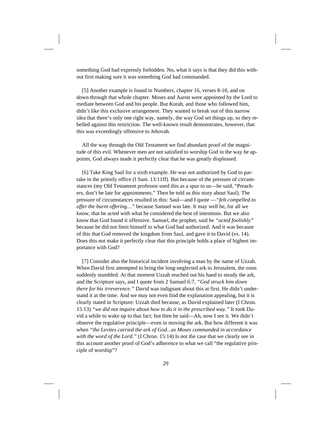something God had expressly forbidden. No, what it says is that they did this without first making sure it was something God had commanded.

[5] Another example is found in Numbers, chapter 16, verses 8-10, and on down through that whole chapter. Moses and Aaron were appointed by the Lord to mediate between God and his people. But Korah, and those who followed him, didn't like this exclusive arrangement. They wanted to break out of this narrow idea that there's only one right way, namely, the way God set things up, so they rebelled against this restriction. The well-known result demonstrates, however, that this was exceedingly offensive to Jehovah.

All the way through the Old Testament we find abundant proof of the magnitude of this evil. Whenever men are not satisfied to worship God in the way he appoints, God always made it perfectly clear that he was greatly displeased.

[6] Take King Saul for a sixth example. He was not authorized by God to partake in the priestly office (I Sam. 13:11ff). But because of the pressure of circumstances (my Old Testament professor used this as a spur to us—he said, "Preachers, don't be late for appointments." Then he told us this story about Saul). The pressure of circumstances resulted in this: Saul—and I quote —*"felt compelled to offer the burnt offering…"* because Samuel was late. It may well be, for all we know, that he acted with what he considered the best of intentions. But we also know that God found it offensive. Samuel, the prophet, said he *"acted foolishly"* because he did not limit himself to what God had authorized. And it was because of this that God removed the kingdom from Saul, and gave it to David (vs. 14). Does this not make it perfectly clear that this principle holds a place of highest importance with God?

[7] Consider also the historical incident involving a man by the name of Uzzah. When David first attempted to bring the long-neglected ark to Jerusalem, the oxen suddenly stumbled. At that moment Uzzah reached out his hand to steady the ark, and the Scripture says, and I quote from 2 Samuel 6:7, *"God struck him down there for his irreverence."* David was indignant about this at first. He didn't understand it at the time. And we may not even find the explanation appealing, but it is clearly stated in Scripture: Uzzah died because, as David explained later (I Chron. 15:13) *"we did not inquire about how to do it in the prescribed way."* It took David a while to wake up to that fact; but then he said—Ah, now I see it. We didn't observe the regulative principle—even in moving the ark. But how different it was when *"the Levites carried the ark of God...as Moses commanded in accordance with the word of the Lord."* (I Chron. 15:14) Is not the case that we clearly see in this account another proof of God's adherence to what we call "the regulative principle of worship"?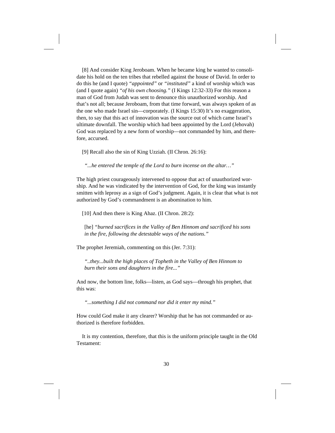[8] And consider King Jeroboam. When he became king he wanted to consolidate his hold on the ten tribes that rebelled against the house of David. In order to do this he (and I quote) *"appointed"* or *"instituted"* a kind of worship which was (and I quote again) *"of his own choosing."* (I Kings 12:32-33) For this reason a man of God from Judah was sent to denounce this unauthorized worship. And that's not all; because Jeroboam, from that time forward, was always spoken of as the one who made Israel sin—corporately. (I Kings 15:30) It's no exaggeration, then, to say that this act of innovation was the source out of which came Israel's ultimate downfall. The worship which had been appointed by the Lord (Jehovah) God was replaced by a new form of worship—not commanded by him, and therefore, accursed.

[9] Recall also the sin of King Uzziah. (II Chron. 26:16):

*"...he entered the temple of the Lord to burn incense on the altar…"*

The high priest courageously intervened to oppose that act of unauthorized worship. And he was vindicated by the intervention of God, for the king was instantly smitten with leprosy as a sign of God's judgment. Again, it is clear that what is not authorized by God's commandment is an abomination to him.

[10] And then there is King Ahaz. (II Chron. 28:2):

[he] *"burned sacrifices in the Valley of Ben Hinnom and sacrificed his sons in the fire, following the detestable ways of the nations."*

The prophet Jeremiah, commenting on this (Jer. 7:31):

*"..they...built the high places of Topheth in the Valley of Ben Hinnom to burn their sons and daughters in the fire..."*

And now, the bottom line, folks—listen, as God says—through his prophet, that this was:

*"...something I did not command nor did it enter my mind."*

How could God make it any clearer? Worship that he has not commanded or authorized is therefore forbidden.

It is my contention, therefore, that this is the uniform principle taught in the Old Testament: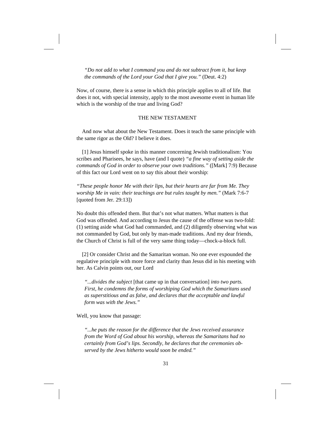*"Do not add to what I command you and do not subtract from it, but keep the commands of the Lord your God that I give you."* (Deut. 4:2)

Now, of course, there is a sense in which this principle applies to all of life. But does it not, with special intensity, apply to the most awesome event in human life which is the worship of the true and living God?

### THE NEW TESTAMENT

And now what about the New Testament. Does it teach the same principle with the same rigor as the Old? I believe it does.

[1] Jesus himself spoke in this manner concerning Jewish traditionalism: You scribes and Pharisees, he says, have (and I quote) *"a fine way of setting aside the commands of God in order to observe your own traditions."* ([Mark] 7:9) Because of this fact our Lord went on to say this about their worship:

*"These people honor Me with their lips, but their hearts are far from Me. They worship Me in vain: their teachings are but rules taught by men."* (Mark 7:6-7 [quoted from Jer. 29:13])

No doubt this offended them. But that's not what matters. What matters is that God was offended. And according to Jesus the cause of the offense was two-fold: (1) setting aside what God had commanded, and (2) diligently observing what was not commanded by God, but only by man-made traditions. And my dear friends, the Church of Christ is full of the very same thing today—chock-a-block full.

[2] Or consider Christ and the Samaritan woman. No one ever expounded the regulative principle with more force and clarity than Jesus did in his meeting with her. As Calvin points out, our Lord

*"...divides the subject* [that came up in that conversation] *into two parts. First, he condemns the forms of worshiping God which the Samaritans used as superstitious and as false, and declares that the acceptable and lawful form was with the Jews."*

Well, you know that passage:

*"...he puts the reason for the difference that the Jews received assurance from the Word of God about his worship, whereas the Samaritans had no certainly from God's lips. Secondly, he declares that the ceremonies observed by the Jews hitherto would soon be ended."*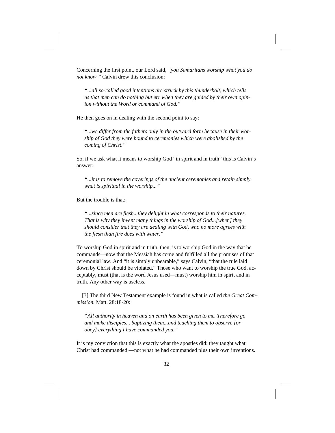Concerning the first point, our Lord said, *"you Samaritans worship what you do not know."* Calvin drew this conclusion:

*"...all so-called good intentions are struck by this thunderbolt, which tells us that men can do nothing but err when they are guided by their own opinion without the Word or command of God."*

He then goes on in dealing with the second point to say:

*"...we differ from the fathers only in the outward form because in their worship of God they were bound to ceremonies which were abolished by the coming of Christ."*

So, if we ask what it means to worship God "in spirit and in truth" this is Calvin's answer:

*"...it is to remove the coverings of the ancient ceremonies and retain simply what is spiritual in the worship..."*

But the trouble is that:

*"...since men are flesh...they delight in what corresponds to their natures. That is why they invent many things in the worship of God...[when] they should consider that they are dealing with God, who no more agrees with the flesh than fire does with water."*

To worship God in spirit and in truth, then, is to worship God in the way that he commands—now that the Messiah has come and fulfilled all the promises of that ceremonial law. And "it is simply unbearable," says Calvin, "that the rule laid down by Christ should be violated." Those who want to worship the true God, acceptably, must (that is the word Jesus used—must) worship him in spirit and in truth. Any other way is useless.

[3] The third New Testament example is found in what is called *the Great Commission.* Matt. 28:18-20:

*"All authority in heaven and on earth has been given to me. Therefore go and make disciples... baptizing them...and teaching them to observe [or obey] everything I have commanded you."*

It is my conviction that this is exactly what the apostles did: they taught what Christ had commanded —not what he had commanded plus their own inventions.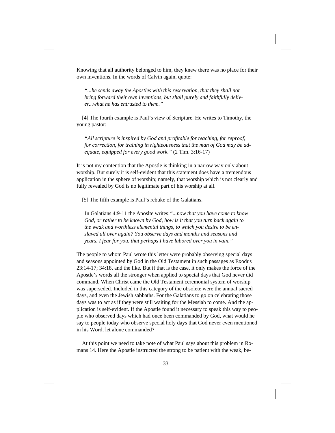Knowing that all authority belonged to him, they knew there was no place for their own inventions. In the words of Calvin again, quote:

*"...he sends away the Apostles with this reservation, that they shall not bring forward their own inventions, but shall purely and faithfully deliver...what he has entrusted to them."*

[4] The fourth example is Paul's view of Scripture. He writes to Timothy, the young pastor:

*"All scripture is inspired by God and profitable for teaching, for reproof, for correction, for training in righteousness that the man of God may be adequate, equipped for every good work."* (2 Tim. 3:16-17)

It is not my contention that the Apostle is thinking in a narrow way only about worship. But surely it is self-evident that this statement does have a tremendous application in the sphere of worship; namely, that worship which is not clearly and fully revealed by God is no legitimate part of his worship at all.

[5] The fifth example is Paul's rebuke of the Galatians.

 In Galatians 4:9-11 the Aposlte writes:*"...now that you have come to know God, or rather to be known by God, how is it that you turn back again to the weak and worthless elemental things, to which you desire to be enslaved all over again? You observe days and months and seasons and years. I fear for you, that perhaps I have labored over you in vain."*

The people to whom Paul wrote this letter were probably observing special days and seasons appointed by God in the Old Testament in such passages as Exodus 23:14-17; 34:18, and the like. But if that is the case, it only makes the force of the Apostle's words all the stronger when applied to special days that God never did command. When Christ came the Old Testament ceremonial system of worship was superseded. Included in this category of the obsolete were the annual sacred days, and even the Jewish sabbaths. For the Galatians to go on celebrating those days was to act as if they were still waiting for the Messiah to come. And the application is self-evident. If the Apostle found it necessary to speak this way to people who observed days which had once been commanded by God, what would he say to people today who observe special holy days that God never even mentioned in his Word, let alone commanded?

At this point we need to take note of what Paul says about this problem in Romans 14. Here the Apostle instructed the strong to be patient with the weak, be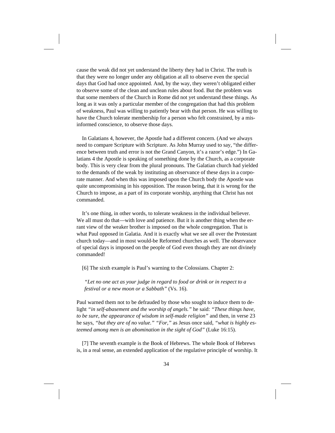cause the weak did not yet understand the liberty they had in Christ. The truth is that they were no longer under any obligation at all to observe even the special days that God had once appointed. And, by the way, they weren't obligated either to observe some of the clean and unclean rules about food. But the problem was that some members of the Church in Rome did not yet understand these things. As long as it was only a particular member of the congregation that had this problem of weakness, Paul was willing to patiently bear with that person. He was willing to have the Church tolerate membership for a person who felt constrained, by a misinformed conscience, to observe those days.

In Galatians 4, however, the Apostle had a different concern. (And we always need to compare Scripture with Scripture. As John Murray used to say, "the difference between truth and error is not the Grand Canyon, it's a razor's edge.") In Galatians 4 the Apostle is speaking of something done by the Church, as a corporate body. This is very clear from the plural pronouns. The Galatian church had yielded to the demands of the weak by instituting an observance of these days in a corporate manner. And when this was imposed upon the Church body the Apostle was quite uncompromising in his opposition. The reason being, that it is wrong for the Church to impose, as a part of its corporate worship, anything that Christ has not commanded.

It's one thing, in other words, to tolerate weakness in the individual believer. We all must do that—with love and patience. But it is another thing when the errant view of the weaker brother is imposed on the whole congregation. That is what Paul opposed in Galatia. And it is exactly what we see all over the Protestant church today—and in most would-be Reformed churches as well. The observance of special days is imposed on the people of God even though they are not divinely commanded!

[6] The sixth example is Paul's warning to the Colossians. Chapter 2:

*"Let no one act as your judge in regard to food or drink or in respect to a festival or a new moon or a Sabbath"* (Vs. 16).

Paul warned them not to be defrauded by those who sought to induce them to delight *"in self-abasement and the worship of angels."* he said: *"These things have, to be sure, the appearance of wisdom in self-made religion"* and then, in verse 23 he says, *"but they are of no value." "For,"* as Jesus once said, *"what is highly esteemed among men is an abomination in the sight of God"* (Luke 16:15).

[7] The seventh example is the Book of Hebrews. The whole Book of Hebrews is, in a real sense, an extended application of the regulative principle of worship. It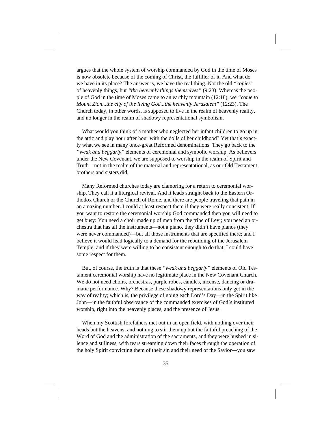argues that the whole system of worship commanded by God in the time of Moses is now obsolete because of the coming of Christ, the fulfiller of it. And what do we have in its place? The answer is, we have the real thing. Not the old *"copies"* of heavenly things, but *"the heavenly things themselves"* (9:23). Whereas the people of God in the time of Moses came to an earthly mountain (12:18), we *"come to Mount Zion...the city of the living God...the heavenly Jerusalem"* (12:23). The Church today, in other words, is supposed to live in the realm of heavenly reality, and no longer in the realm of shadowy representational symbolism.

What would you think of a mother who neglected her infant children to go up in the attic and play hour after hour with the dolls of her childhood? Yet that's exactly what we see in many once-great Reformed denominations. They go back to the *"weak and beggarly"* elements of ceremonial and symbolic worship. As believers under the New Covenant, we are supposed to worship in the realm of Spirit and Truth—not in the realm of the material and representational, as our Old Testament brothers and sisters did.

Many Reformed churches today are clamoring for a return to ceremonial worship. They call it a liturgical revival. And it leads straight back to the Eastern Orthodox Church or the Church of Rome, and there are people traveling that path in an amazing number. I could at least respect them if they were really consistent. If you want to restore the ceremonial worship God commanded then you will need to get busy: You need a choir made up of men from the tribe of Levi; you need an orchestra that has all the instruments—not a piano, they didn't have pianos (they were never commanded)—but all those instruments that are specified there; and I believe it would lead logically to a demand for the rebuilding of the Jerusalem Temple; and if they were willing to be consistent enough to do that, I could have some respect for them.

But, of course, the truth is that these *"weak and beggarly"* elements of Old Testament ceremonial worship have no legitimate place in the New Covenant Church. We do not need choirs, orchestras, purple robes, candles, incense, dancing or dramatic performance. Why? Because these shadowy representations only get in the way of reality; which is, the privilege of going each Lord's Day—in the Spirit like John—in the faithful observance of the commanded exercises of God's instituted worship, right into the heavenly places, and the presence of Jesus.

When my Scottish forefathers met out in an open field, with nothing over their heads but the heavens, and nothing to stir them up but the faithful preaching of the Word of God and the administration of the sacraments, and they were hushed in silence and stillness, with tears streaming down their faces through the operation of the holy Spirit convicting them of their sin and their need of the Savior—you saw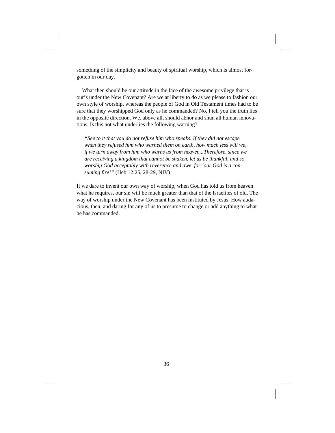something of the simplicity and beauty of spiritual worship, which is almost forgotten in our day.

What then should be our attitude in the face of the awesome privilege that is our's under the New Covenant? Are we at liberty to do as we please to fashion our own style of worship, whereas the people of God in Old Testament times had to be sure that they worshipped God only as he commanded? No, I tell you the truth lies in the opposite direction. We, above all, should abhor and shun all human innovations. Is this not what underlies the following warning?

*"See to it that you do not refuse him who speaks. If they did not escape when they refused him who warned them on earth, how much less will we, if we turn away from him who warns us from heaven...Therefore, since we are receiving a kingdom that cannot be shaken, let us be thankful, and so worship God acceptably with reverence and awe, for 'our God is a consuming fire'"* (Heb 12:25, 28-29, NIV)

If we dare to invent our own way of worship, when God has told us from heaven what he requires, our sin will be much greater than that of the Israelites of old. The way of worship under the New Covenant has been instituted by Jesus. How audacious, then, and daring for any of us to presume to change or add anything to what he has commanded.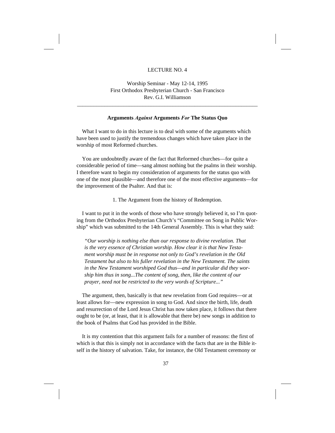#### LECTURE NO. 4

Worship Seminar - May 12-14, 1995 First Orthodox Presbyterian Church - San Francisco Rev. G.I. Williamson

\_\_\_\_\_\_\_\_\_\_\_\_\_\_\_\_\_\_\_\_\_\_\_\_\_\_\_\_\_\_\_\_\_\_\_\_\_\_\_\_\_\_\_\_\_\_\_\_\_\_\_\_\_\_\_\_\_\_\_\_\_\_\_\_\_\_

#### **Arguments** *Against* **Arguments** *For* **The Status Quo**

What I want to do in this lecture is to deal with some of the arguments which have been used to justify the tremendous changes which have taken place in the worship of most Reformed churches.

You are undoubtedly aware of the fact that Reformed churches—for quite a considerable period of time—sang almost nothing but the psalms in their worship. I therefore want to begin my consideration of arguments for the status quo with one of the most plausible—and therefore one of the most effective arguments—for the improvement of the Psalter. And that is:

1. The Argument from the history of Redemption.

I want to put it in the words of those who have strongly believed it, so I'm quoting from the Orthodox Presbyterian Church's "Committee on Song in Public Worship" which was submitted to the 14th General Assembly. This is what they said:

*"Our worship is nothing else than our response to divine revelation. That is the very essence of Christian worship. How clear it is that New Testament worship must be in response not only to God's revelation in the Old Testament but also to his fuller revelation in the New Testament. The saints in the New Testament worshiped God thus—and in particular did they worship him thus in song...The content of song, then, like the content of our prayer, need not be restricted to the very words of Scripture..."*

The argument, then, basically is that new revelation from God requires—or at least allows for—new expression in song to God. And since the birth, life, death and resurrection of the Lord Jesus Christ has now taken place, it follows that there ought to be (or, at least, that it is allowable that there be) new songs in addition to the book of Psalms that God has provided in the Bible.

It is my contention that this argument fails for a number of reasons: the first of which is that this is simply not in accordance with the facts that are in the Bible itself in the history of salvation. Take, for instance, the Old Testament ceremony or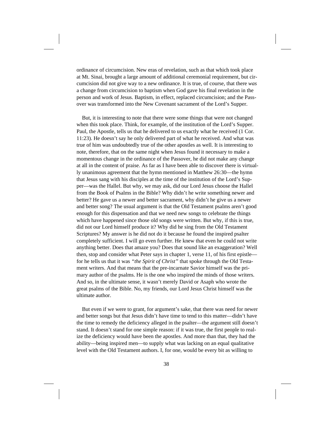ordinance of circumcision. New eras of revelation, such as that which took place at Mt. Sinai, brought a large amount of additional ceremonial requirement, but circumcision did not give way to a new ordinance. It is true, of course, that there *was* a change from circumcision to baptism when God gave his final revelation in the person and work of Jesus. Baptism, in effect, replaced circumcision; and the Passover was transformed into the New Covenant sacrament of the Lord's Supper.

But, it is interesting to note that there were some things that were not changed when this took place. Think, for example, of the institution of the Lord's Supper. Paul, the Apostle, tells us that he delivered to us exactly what he received (1 Cor. 11:23). He doesn't say he only delivered part of what he received. And what was true of him was undoubtedly true of the other apostles as well. It is interesting to note, therefore, that on the same night when Jesus found it necessary to make a momentous change in the ordinance of the Passover, he did not make any change at all in the content of praise. As far as I have been able to discover there is virtually unanimous agreement that the hymn mentioned in Matthew 26:30—the hymn that Jesus sang with his disciples at the time of the institution of the Lord's Supper—was the Hallel. But why, we may ask, did our Lord Jesus choose the Hallel from the Book of Psalms in the Bible? Why didn't he write something newer and better? He gave us a newer and better sacrament, why didn't he give us a newer and better song? The usual argument is that the Old Testament psalms aren't good enough for this dispensation and that we need new songs to celebrate the things which have happened since those old songs were written. But why, if this is true, did not our Lord himself produce it? Why did he sing from the Old Testament Scriptures? My answer is he did not do it because he found the inspired psalter completely sufficient. I will go even further. He knew that even he could not write anything better. Does that amaze you? Does that sound like an exaggeration? Well then, stop and consider what Peter says in chapter 1, verse 11, of his first epistle for he tells us that it was *"the Spirit of Christ"* that spoke through the Old Testament writers. And that means that the pre-incarnate Savior himself was the primary author of the psalms. He is the one who inspired the minds of those writers. And so, in the ultimate sense, it wasn't merely David or Asaph who wrote the great psalms of the Bible. No, my friends, our Lord Jesus Christ himself was the ultimate author.

But even if we were to grant, for argument's sake, that there was need for newer and better songs but that Jesus didn't have time to tend to this matter—didn't have the time to remedy the deficiency alleged in the psalter—the argument still doesn't stand. It doesn't stand for one simple reason: if it was true, the first people to realize the deficiency would have been the apostles. And more than that, they had the ability—being inspired men—to supply what was lacking on an equal qualitative level with the Old Testament authors. I, for one, would be every bit as willing to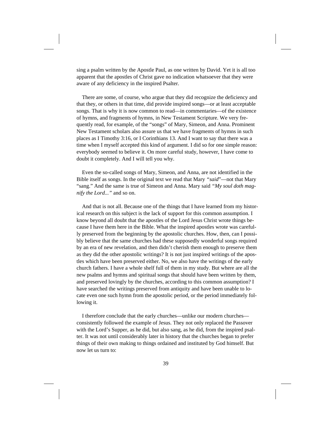sing a psalm written by the Apostle Paul, as one written by David. Yet it is all too apparent that the apostles of Christ gave no indication whatsoever that they were aware of any deficiency in the inspired Psalter.

There are some, of course, who argue that they did recognize the deficiency and that they, or others in that time, did provide inspired songs—or at least acceptable songs. That is why it is now common to read—in commentaries—of the existence of hymns, and fragments of hymns, in New Testament Scripture. We very frequently read, for example, of the "songs" of Mary, Simeon, and Anna. Prominent New Testament scholars also assure us that we have fragments of hymns in such places as I Timothy 3:16, or I Corinthians 13. And I want to say that there was a time when I myself accepted this kind of argument. I did so for one simple reason: everybody seemed to believe it. On more careful study, however, I have come to doubt it completely. And I will tell you why.

Even the so-called songs of Mary, Simeon, and Anna, are not identified in the Bible itself as songs. In the original text we read that Mary *"said*"—not that Mary "sang." And the same is true of Simeon and Anna. Mary said *"My soul doth magnify the Lord..."* and so on.

And that is not all. Because one of the things that I have learned from my historical research on this subject is the lack of support for this common assumption. I know beyond all doubt that the apostles of the Lord Jesus Christ wrote things because I have them here in the Bible. What the inspired apostles wrote was carefully preserved from the beginning by the apostolic churches. How, then, can I possibly believe that the same churches had these supposedly wonderful songs required by an era of new revelation, and then didn't cherish them enough to preserve them as they did the other apostolic writings? It is not just inspired writings of the apostles which have been preserved either. No, we also have the writings of the early church fathers. I have a whole shelf full of them in my study. But where are all the new psalms and hymns and spiritual songs that should have been written by them, and preserved lovingly by the churches, according to this common assumption? I have searched the writings preserved from antiquity and have been unable to locate even one such hymn from the apostolic period, or the period immediately following it.

I therefore conclude that the early churches—unlike our modern churches consistently followed the example of Jesus. They not only replaced the Passover with the Lord's Supper, as he did, but also sang, as he did, from the inspired psalter. It was not until considerably later in history that the churches began to prefer things of their own making to things ordained and instituted by God himself. But now let us turn to: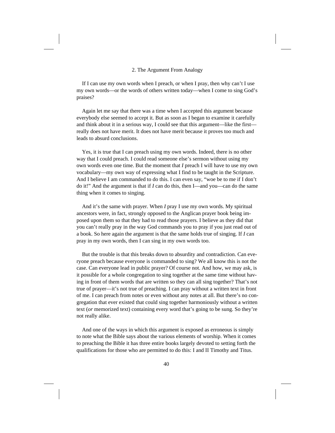#### 2. The Argument From Analogy

If I can use my own words when I preach, or when I pray, then why can't I use my own words—or the words of others written today—when I come to sing God's praises?

Again let me say that there was a time when I accepted this argument because everybody else seemed to accept it. But as soon as I began to examine it carefully and think about it in a serious way, I could see that this argument—like the first really does not have merit. It does not have merit because it proves too much and leads to absurd conclusions.

Yes, it is true that I can preach using my own words. Indeed, there is no other way that I could preach. I could read someone else's sermon without using my own words even one time. But the moment that *I* preach I will have to use my own vocabulary—my own way of expressing what I find to be taught in the Scripture. And I believe I am commanded to do this. I can even say, "woe be to me if I don't do it!" And the argument is that if *I* can do this, then I—and you—can do the same thing when it comes to singing.

And it's the same with prayer. When *I* pray I use my own words. My spiritual ancestors were, in fact, strongly opposed to the Anglican prayer book being imposed upon them so that they had to read those prayers. I believe as they did that you can't really pray in the way God commands you to pray if you just read out of a book. So here again the argument is that the same holds true of singing. If *I* can pray in my own words, then I can sing in my own words too.

But the trouble is that this breaks down to absurdity and contradiction. Can everyone preach because everyone is commanded to sing? We all know this is not the case. Can everyone lead in public prayer? Of course not. And how, we may ask, is it possible for a whole congregation to sing together at the same time without having in front of them words that are written so they can all sing together? That's not true of prayer—it's not true of preaching. I can pray without a written text in front of me. I can preach from notes or even without any notes at all. But there's no congregation that ever existed that could sing together harmoniously without a written text (*or* memorized text) containing every word that's going to be sung. So they're not really alike.

And one of the ways in which this argument is exposed as erroneous is simply to note what the Bible says about the various elements of worship. When it comes to preaching the Bible it has three entire books largely devoted to setting forth the qualifications for those who are permitted to do this: I and II Timothy and Titus.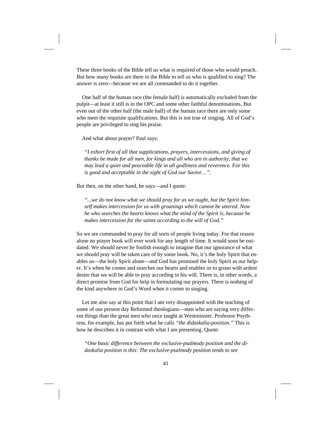These three books of the Bible tell us what is required of those who would preach. But how many books are there in the Bible to tell us who is qualified to sing? The answer is zero—because we are all commanded to do it together.

One half of the human race (the female half) is automatically excluded from the pulpit—at least it still is in the OPC and some other faithful denominations. But even out of the other half (the male half) of the human race there are only some who meet the requisite qualifications. But this is not true of singing. All of God's people are privileged to sing his praise.

And what about prayer? Paul says:

*"I exhort first of all that supplications, prayers, intercessions, and giving of thanks be made for all men, for kings and all who are in authority, that we may lead a quiet and peaceable life in all godliness and reverence. For this is good and acceptable in the sight of God our Savior…".*

But then, on the other hand, he says—and I quote:

*"...we do not know what we should pray for as we ought, but the Spirit himself makes intercession for us with groanings which cannot be uttered. Now he who searches the hearts knows what the mind of the Spirit is, because he makes intercession for the saints according to the will of God."*

So we are commanded to pray for all sorts of people living today. For that reason alone no prayer book will ever work for any length of time. It would soon be outdated. We should never be foolish enough to imagine that our ignorance of what we should pray will be taken care of by some book. No, it's the holy Spirit that enables us—the holy Spirit alone—and God has promised the holy Spirit as our helper. It's when he comes and searches our hearts and enables us to groan with ardent desire that we will be able to pray according to his will. There is, in other words, a direct promise from God for help in formulating our prayers. There is nothing of the kind anywhere in God's Word when it comes to singing.

Let me also say at this point that I am very disappointed with the teaching of some of our present day Reformed theologians—men who are saying very different things than the great men who once taught at Westminster. Professor Poythress, for example, has put forth what he calls *"the didaskalia-position."* This is how he describes it in contrast with what I am presenting. Quote:

*"One basic difference between the exclusive-psalmody position and the didaskalia position is this: The exclusive-psalmody position tends to see*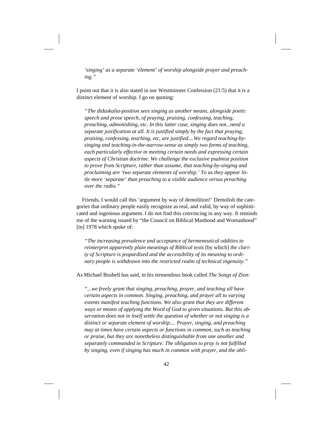*'singing' as a separate 'element' of worship alongside prayer and preaching."*

I point out that it is also stated in our Westminster Confession (21:5) that it *is* a distinct element of worship. I go on quoting:

*"The didaskalia-position sees singing as another means, alongside poetic speech and prose speech, of praying, praising, confessing, teaching, preaching, admonishing, etc. In this latter case, singing does not...need a separate justification at all. It is justified simply by the fact that praying, praising, confessing, teaching, etc, are justified....We regard teaching-bysinging and teaching-in-the-narrow-sense as simply two forms of teaching, each particularly effective in meeting certain needs and expressing certain aspects of Christian doctrine. We challenge the exclusive psalmist position to prove from Scripture, rather than assume, that teaching-by-singing and proclaiming are 'two separate elements of worship.' To us they appear little more 'separate' than preaching to a visible audience versus preaching over the radio."*

Friends, I would call this 'argument by way of demolition!' Demolish the categories that ordinary people easily recognize as real, and valid, by way of sophisticated and ingenious argument. I do not find this convincing in any way. It reminds me of the warning issued by "the Council on Biblical Manhood and Womanhood" [in] 1978 which spoke of:

*"The increasing prevalence and acceptance of hermeneutical oddities to reinterpret apparently plain meanings of Biblical texts* [by which] *the clarity of Scripture is jeopardized and the accessibility of its meaning to ordinary people is withdrawn into the restricted realm of technical ingenuity."*

As Michael Bushell has said, in his tremendous book called *The Songs of Zion:*

*"...we freely grant that singing, preaching, prayer, and teaching all have certain aspects in common. Singing, preaching, and prayer all to varying extents manifest teaching functions. We also grant that they are different ways or means of applying the Word of God to given situations. But this observation does not in itself settle the question of whether or not singing is a distinct or separate element of worship.... Prayer, singing, and preaching may at times have certain aspects or functions in common, such as teaching or praise, but they are nonetheless distinguishable from one another and separately commanded in Scripture. The obligation to pray is not fulfilled by singing, even if singing has much in common with prayer, and the obli-*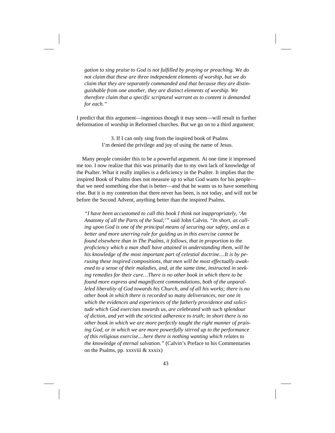*gation to sing praise to God is not fulfilled by praying or preaching. We do not claim that these are three independent elements of worship, but we do claim that they are separately commanded and that because they are distinguishable from one another, they are distinct elements of worship. We therefore claim that a specific scriptural warrant as to content is demanded for each."*

I predict that this argument—ingenious though it may seem—will result in further deformation of worship in Reformed churches. But we go on to a third argument:

> 3. If I can only sing from the inspired book of Psalms I'm denied the privilege and joy of using the name of Jesus.

Many people consider this to be a powerful argument. At one time it impressed me too. I now realize that this was primarily due to my own lack of knowledge of the Psalter. What it really implies is a deficiency in the Psalter. It implies that the inspired Book of Psalms does not measure up to what God wants for his people that we need something else that is better—and that he wants us to have something else. But it is my contention that there never has been, is not today, and will not be before the Second Advent, anything better than the inspired Psalms.

*"I have been accustomed to call this book I think not inappropriately, 'An Anatomy of all the Parts of the Soul;'"* said John Calvin. *"In short, as calling upon God is one of the principal means of securing our safety, and as a better and more unerring rule for guiding us in this exercise cannot be found elsewhere than in The Psalms, it follows, that in proportion to the proficiency which a man shall have attained in understanding them, will be his knowledge of the most important part of celestial doctrine....It is by perusing these inspired compositions, that men will be most effectually awakened to a sense of their maladies, and, at the same time, instructed in seeking remedies for their cure…There is no other book in which there to be found more express and magnificent commendations, both of the unparalleled liberality of God towards his Church, and of all his works; there is no other book in which there is recorded so many deliverances, nor one in which the evidences and experiences of the fatherly providence and solicitude which God exercises towards us, are celebrated with such splendour of diction, and yet with the strictest adherence to truth; in short there is no other book in which we are more perfectly taught the right manner of praising God, or in which we are more powerfully stirred up to the performance of this religious exercise....here there is nothing wanting which relates to the knowledge of eternal salvation."* (Calvin's Preface to his Commentaries on the Psalms, pp. xxxviii & xxxix)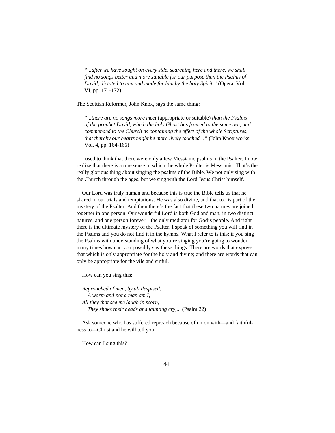*"...after we have sought on every side, searching here and there, we shall find no songs better and more suitable for our purpose than the Psalms of David, dictated to him and made for him by the holy Spirit."* (Opera, Vol. VI, pp. 171-172)

The Scottish Reformer, John Knox, says the same thing:

*"...there are no songs more meet* (appropriate or suitable) *than the Psalms of the prophet David, which the holy Ghost has framed to the same use, and commended to the Church as containing the effect of the whole Scriptures, that thereby our hearts might be more lively touched…"* (John Knox works, Vol. 4, pp. 164-166)

I used to think that there were only a few Messianic psalms in the Psalter. I now realize that there is a true sense in which the whole Psalter is Messianic. That's the really glorious thing about singing the psalms of the Bible. We not only sing with the Church through the ages, but we sing with the Lord Jesus Christ himself.

Our Lord was truly human and because this is true the Bible tells us that he shared in our trials and temptations. He was also divine, and that too is part of the mystery of the Psalter. And then there's the fact that these two natures are joined together in one person. Our wonderful Lord is both God and man, in two distinct natures, and one person forever—the only mediator for God's people. And right there is the ultimate mystery of the Psalter. I speak of something you will find in the Psalms and you do not find it in the hymns. What I refer to is this: if you sing the Psalms with understanding of what you're singing you're going to wonder many times how can you possibly say these things. There are words that express that which is only appropriate for the holy and divine; and there are words that can only be appropriate for the vile and sinful.

How can you sing this:

*Reproached of men, by all despised; A worm and not a man am I; All they that see me laugh in scorn; They shake their heads and taunting cry,...* (Psalm 22)

Ask someone who has suffered reproach because of union with—and faithfulness to—Christ and he will tell you.

How can I sing this?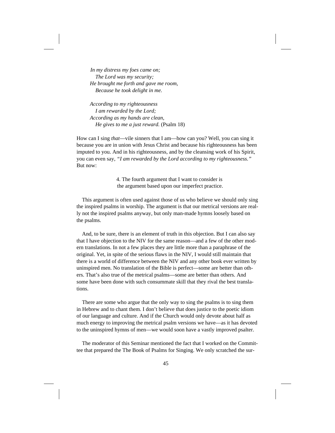*In my distress my foes came on; The Lord was my security; He brought me forth and gave me room, Because he took delight in me.*

*According to my righteousness I am rewarded by the Lord; According as my hands are clean, He gives to me a just reward.* (Psalm 18)

How can I sing *that*—vile sinners that I am—how can you? Well, you can sing it because you are in union with Jesus Christ and because his righteousness has been imputed to you. And in his righteousness, and by the cleansing work of his Spirit, you can even say, *"I am rewarded by the Lord according to my righteousness."* But now:

> 4. The fourth argument that I want to consider is the argument based upon our imperfect practice.

This argument is often used against those of us who believe we should only sing the inspired psalms in worship. The argument is that our metrical versions are really not the inspired psalms anyway, but only man-made hymns loosely based on the psalms.

And, to be sure, there is an element of truth in this objection. But I can also say that I have objection to the NIV for the same reason—and a few of the other modern translations. In not a few places they are little more than a paraphrase of the original. Yet, in spite of the serious flaws in the NIV, I would still maintain that there is a world of difference between the NIV and any other book ever written by uninspired men. No translation of the Bible is perfect—some are better than others. That's also true of the metrical psalms—some are better than others. And some have been done with such consummate skill that they rival the best translations.

There are some who argue that the only way to sing the psalms is to sing them in Hebrew and to chant them. I don't believe that does justice to the poetic idiom of our language and culture. And if the Church would only devote about half as much energy to improving the metrical psalm versions we have—as it has devoted to the uninspired hymns of men—we would soon have a vastly improved psalter.

The moderator of this Seminar mentioned the fact that I worked on the Committee that prepared the The Book of Psalms for Singing. We only scratched the sur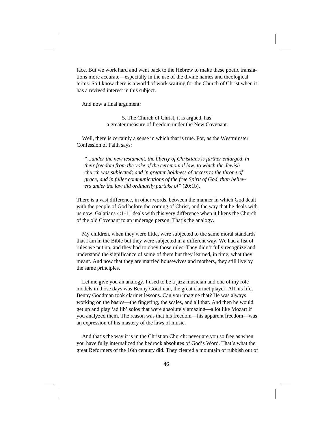face. But we work hard and went back to the Hebrew to make these poetic translations more accurate—especially in the use of the divine names and theological terms. So I know there is a world of work waiting for the Church of Christ when it has a revived interest in this subject.

And now a final argument:

5. The Church of Christ, it is argued, has a greater measure of freedom under the New Covenant.

Well, there is certainly a sense in which that is true. For, as the Westminster Confession of Faith says:

*"...under the new testament, the liberty of Christians is further enlarged, in their freedom from the yoke of the ceremonial law, to which the Jewish church was subjected; and in greater boldness of access to the throne of grace, and in fuller communications of the free Spirit of God, than believers under the law did ordinarily partake of"* (20:1b).

There is a vast difference, in other words, between the manner in which God dealt with the people of God before the coming of Christ, and the way that he deals with us now. Galatians 4:1-11 deals with this very difference when it likens the Church of the old Covenant to an underage person. That's the analogy.

My children, when they were little, were subjected to the same moral standards that I am in the Bible but they were subjected in a different way. We had a list of rules we put up, and they had to obey those rules. They didn't fully recognize and understand the significance of some of them but they learned, in time, what they meant. And now that they are married housewives and mothers, they still live by the same principles.

Let me give you an analogy. I used to be a jazz musician and one of my role models in those days was Benny Goodman, the great clarinet player. All his life, Benny Goodman took clarinet lessons. Can you imagine that? He was always working on the basics—the fingering, the scales, and all that. And then he would get up and play 'ad lib' solos that were absolutely amazing—a lot like Mozart if you analyzed them. The reason was that his freedom—his apparent freedom—was an expression of his mastery of the laws of music.

And that's the way it is in the Christian Church: never are you so free as when you have fully internalized the bedrock absolutes of God's Word. That's what the great Reformers of the 16th century did. They cleared a mountain of rubbish out of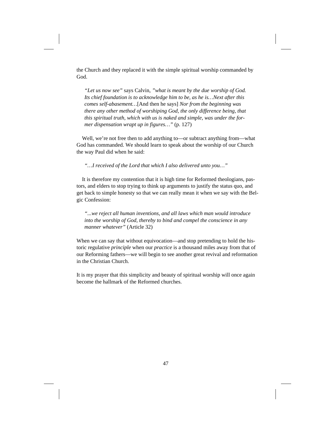the Church and they replaced it with the simple spiritual worship commanded by God.

*"Let us now see"* says Calvin, *"what is meant by the due worship of God. Its chief foundation is to acknowledge him to be, as he is…Next after this comes self-abasement…*[And then he says] *Nor from the beginning was there any other method of worshiping God, the only difference being, that this spiritual truth, which with us is naked and simple, was under the former dispensation wrapt up in figures…"* (p. 127)

Well, we're not free then to add anything to—or subtract anything from—what God has commanded. We should learn to speak about the worship of our Church the way Paul did when he said:

*"…I received of the Lord that which I also delivered unto you…"*

It is therefore my contention that it is high time for Reformed theologians, pastors, and elders to stop trying to think up arguments to justify the status quo, and get back to simple honesty so that we can really mean it when we say with the Belgic Confession:

*"...we reject all human inventions, and all laws which man would introduce into the worship of God, thereby to bind and compel the conscience in any manner whatever"* (Article 32)

When we can say that without equivocation—and stop pretending to hold the historic regulative *principle* when our *practice* is a thousand miles away from that of our Reforming fathers—we will begin to see another great revival and reformation in the Christian Church.

It is my prayer that this simplicity and beauty of spiritual worship will once again become the hallmark of the Reformed churches.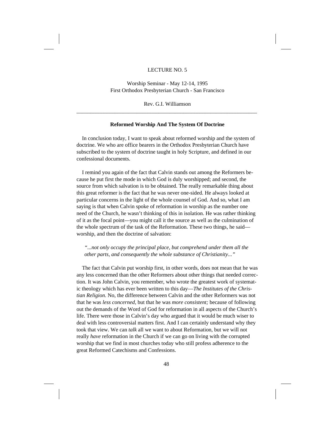#### LECTURE NO. 5

Worship Seminar - May 12-14, 1995 First Orthodox Presbyterian Church - San Francisco

Rev. G.I. Williamson \_\_\_\_\_\_\_\_\_\_\_\_\_\_\_\_\_\_\_\_\_\_\_\_\_\_\_\_\_\_\_\_\_\_\_\_\_\_\_\_\_\_\_\_\_\_\_\_\_\_\_\_\_\_\_\_\_\_\_\_\_\_\_\_\_\_

#### **Reformed Worship And The System Of Doctrine**

In conclusion today, I want to speak about reformed worship and the system of doctrine. We who are office bearers in the Orthodox Presbyterian Church have subscribed to the system of doctrine taught in holy Scripture, and defined in our confessional documents.

I remind you again of the fact that Calvin stands out among the Reformers because he put first the mode in which God is duly worshipped; and second, the source from which salvation is to be obtained. The really remarkable thing about this great reformer is the fact that he was never one-sided. He always looked at particular concerns in the light of the whole counsel of God. And so, what I am saying is that when Calvin spoke of reformation in worship as the number one need of the Church, he wasn't thinking of this in isolation. He was rather thinking of it as the focal point—you might call it the source as well as the culmination of the whole spectrum of the task of the Reformation. These two things, he said worship, and then the doctrine of salvation:

*"...not only occupy the principal place, but comprehend under them all the other parts, and consequently the whole substance of Christianity..."*

The fact that Calvin put worship first, in other words, does not mean that he was any less concerned than the other Reformers about other things that needed correction. It was John Calvin, you remember, who wrote the greatest work of systematic theology which has ever been written to this day—*The Institutes of the Christian Religion.* No, the difference between Calvin and the other Reformers was not that he was *less concerned,* but that he was *more consistent;* because of following out the demands of the Word of God for reformation in all aspects of the Church's life. There were those in Calvin's day who argued that it would be much wiser to deal with less controversial matters first. And I can certainly understand why they took that view. We can *talk* all we want to about Reformation, but we will not really *have* reformation in the Church if we can go on living with the corrupted worship that we find in most churches today who still profess adherence to the great Reformed Catechisms and Confessions.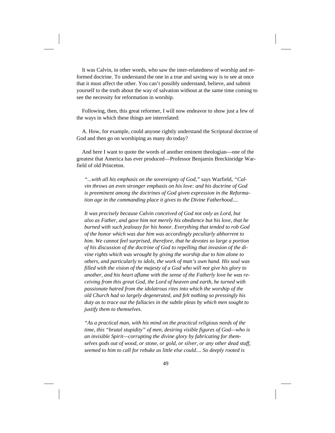It was Calvin, in other words, who saw the inter-relatedness of worship and reformed doctrine. To understand the one in a true and saving way is to see at once that it must affect the other. You can't possibly understand, believe, and submit yourself to the truth about the way of salvation without at the same time coming to see the necessity for reformation in worship.

Following, then, this great reformer, I will now endeavor to show just a few of the ways in which these things are interrelated:

A. How, for example, could anyone rightly understand the Scriptural doctrine of God and then go on worshiping as many do today?

And here I want to quote the words of another eminent theologian—one of the greatest that America has ever produced—Professor Benjamin Breckinridge Warfield of old Princeton.

*"...with all his emphasis on the sovereignty of God,"* says Warfield, *"Calvin throws an even stronger emphasis on his love: and his doctrine of God is preeminent among the doctrines of God given expression in the Reformation age in the commanding place it gives to the Divine Fatherhood....*

*It was precisely because Calvin conceived of God not only as Lord, but also as Father, and gave him not merely his obedience but his love, that he burned with such jealousy for his honor. Everything that tended to rob God of the honor which was due him was accordingly peculiarly abhorrent to him. We cannot feel surprised, therefore, that he devotes so large a portion of his discussion of the doctrine of God to repelling that invasion of the divine rights which was wrought by giving the worship due to him alone to others, and particularly to idols, the work of man's own hand. His soul was filled with the vision of the majesty of a God who will not give his glory to another, and his heart aflame with the sense of the Fatherly love he was receiving from this great God, the Lord of heaven and earth, he turned with passionate hatred from the idolatrous rites into which the worship of the old Church had so largely degenerated, and felt nothing so pressingly his duty as to trace out the fallacies in the subtle pleas by which men sought to justify them to themselves.*

*"As a practical man, with his mind on the practical religious needs of the time, this "brutal stupidity" of men, desiring visible figures of God—who is an invisible Spirit—corrupting the divine glory by fabricating for themselves gods out of wood, or stone, or gold, or silver, or any other dead stuff, seemed to him to call for rebuke as little else could.... So deeply rooted is*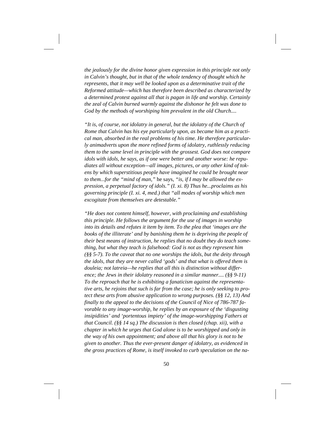*the jealously for the divine honor given expression in this principle not only in Calvin's thought, but in that of the whole tendency of thought which he represents, that it may well be looked upon as a determinative trait of the Reformed attitude—which has therefore been described as characterized by a determined protest against all that is pagan in life and worship. Certainly the zeal of Calvin burned warmly against the dishonor he felt was done to God by the methods of worshiping him prevalent in the old Church....*

*"It is, of course, not idolatry in general, but the idolatry of the Church of Rome that Calvin has his eye particularly upon, as became him as a practical man, absorbed in the real problems of his time. He therefore particularly animadverts upon the more refined forms of idolatry, ruthlessly reducing them to the same level in principle with the grossest. God does not compare idols with idols, he says, as if one were better and another worse: he repudiates all without exception—all images, pictures, or any other kind of tokens by which superstitious people have imagined he could be brought near to them...for the "mind of man,"* he says, *"is, if I may be allowed the expression, a perpetual factory of idols." (I. xi. 8) Thus he...proclaims as his governing principle (I. xi. 4, med.) that "all modes of worship which men excogitate from themselves are detestable."*

*"He does not content himself, however, with proclaiming and establishing this principle. He follows the argument for the use of images in worship into its details and refutes it item by item. To the plea that 'images are the books of the illiterate' and by banishing them he is depriving the people of their best means of instruction, he replies that no doubt they do teach something, but what they teach is falsehood: God is not as they represent him (§§ 5-7). To the caveat that no one worships the idols, but the deity through the idols, that they are never called 'gods' and that what is offered them is douleia; not latreia—he replies that all this is distinction without difference; the Jews in their idolatry reasoned in a similar manner.... (§§ 9-11) To the reproach that he is exhibiting a fanaticism against the representative arts, he rejoins that such is far from the case; he is only seeking to protect these arts from abusive application to wrong purposes. (§§ 12, 13) And finally to the appeal to the decisions of the Council of Nice of 786-787 favorable to any image-worship, he replies by an exposure of the 'disgusting insipidities' and 'portentous impiety' of the image-worshipping Fathers at that Council. (§§ 14 sq.) The discussion is then closed (chap. xii), with a chapter in which he urges that God alone is to be worshipped and only in the way of his own appointment; and above all that his glory is not to be given to another. Thus the ever-present danger of idolatry, as evidenced in the gross practices of Rome, is itself invoked to curb speculation on the na-*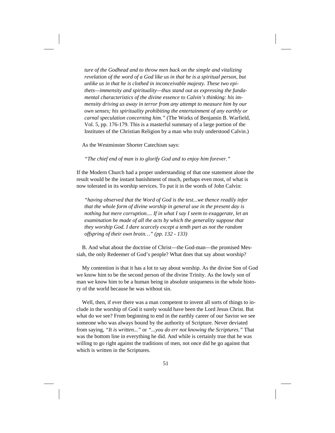*ture of the Godhead and to throw men back on the simple and vitalizing revelation of the word of a God like us in that he is a spiritual person, but unlike us in that he is clothed in inconceivable majesty. These two epithets—immensity and spirituality—thus stand out as expressing the fundamental characteristics of the divine essence to Calvin's thinking: his immensity driving us away in terror from any attempt to measure him by our own senses; his spirituality prohibiting the entertainment of any earthly or carnal speculation concerning him."* (The Works of Benjamin B. Warfield, Vol. 5, pp. 176-179. This is a masterful summary of a large portion of the Institutes of the Christian Religion by a man who truly understood Calvin.)

As the Westminster Shorter Catechism says:

*"The chief end of man is to glorify God and to enjoy him forever."*

If the Modern Church had a proper understanding of that one statement alone the result would be the instant banishment of much, perhaps even most, of what is now tolerated in its worship services. To put it in the words of John Calvin:

*"having observed that the Word of God is the test...we thence readily infer that the whole form of divine worship in general use in the present day is nothing but mere corruption.... If in what I say I seem to exaggerate, let an examination be made of all the acts by which the generality suppose that they worship God. I dare scarcely except a tenth part as not the random offspring of their own brain…" (pp. 132 - 133)*

B. And what about the doctrine of Christ—the God-man—the promised Messiah, the only Redeemer of God's people? What does that say about worship?

My contention is that it has a lot to say about worship. As the divine Son of God we know him to be the second person of the divine Trinity. As the lowly son of man we know him to be a human being in absolute uniqueness in the whole history of the world because he was without sin.

Well, then, if ever there was a man competent to invent all sorts of things to include in the worship of God it surely would have been the Lord Jesus Christ. But what do we see? From beginning to end in the earthly career of our Savior we see someone who was always bound by the authority of Scripture. Never deviated from saying, *"It is written..."* or *"...you do err not knowing the Scriptures."* That was the bottom line in everything he did. And while is certainly true that he was willing to go right against the traditions of men, not once did he go against that which is written in the Scriptures.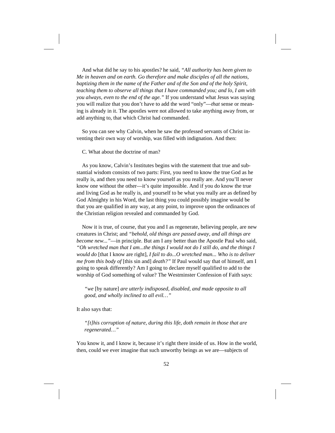And what did he say to his apostles? he said, *"All authority has been given to Me in heaven and on earth. Go therefore and make disciples of all the nations, baptizing them in the name of the Father and of the Son and of the holy Spirit, teaching them to observe all things that I have commanded you; and lo, I am with you always, even to the end of the age."* If you understand what Jesus was saying you will realize that you don't have to add the word "only"—*that* sense or meaning is already in it. The apostles were not allowed to take anything away from, or add anything to, that which Christ had commanded.

So you can see why Calvin, when he saw the professed servants of Christ inventing their own way of worship, was filled with indignation. And then:

C. What about the doctrine of man?

As you know, Calvin's Institutes begins with the statement that true and substantial wisdom consists of two parts: First, you need to know the true God as he really is, and then you need to know yourself as you really are. And you'll never know one without the other—it's quite impossible. And if you do know the true and living God as he really is, and yourself to be what you really are as defined by God Almighty in his Word, the last thing you could possibly imagine would be that you are qualified in any way, at any point, to improve upon the ordinances of the Christian religion revealed and commanded by God.

Now it is true, of course, that you and I as regenerate, believing people, are new creatures in Christ; and *"behold, old things are passed away, and all things are become new...* "—in principle. But am I any better than the Apostle Paul who said, *"Oh wretched man that I am...the things I would not do I still do, and the things I would do* [that I know are right], *I fail to do...O wretched man... Who is to deliver me from this body of* [this sin and] *death?"* If Paul would say that of himself, am I going to speak differently? Am I going to declare myself qualified to add to the worship of God something of value? The Westminster Confession of Faith says:

*"we* [by nature] *are utterly indisposed, disabled, and made opposite to all good, and wholly inclined to all evil…"*

It also says that:

*"[t]his corruption of nature, during this life, doth remain in those that are regenerated…"*

You know it, and I know it, because it's right there inside of us. How in the world, then, could we ever imagine that such unworthy beings as we are—subjects of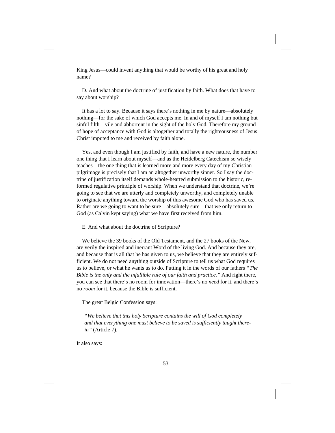King Jesus—could invent anything that would be worthy of his great and holy name?

D. And what about the doctrine of justification by faith. What does that have to say about worship?

It has a lot to say. Because it says there's nothing in me by nature—absolutely nothing—for the sake of which God accepts me. In and of myself I am nothing but sinful filth—vile and abhorrent in the sight of the holy God. Therefore my ground of hope of acceptance with God is altogether and totally the righteousness of Jesus Christ imputed to me and received by faith alone.

Yes, and even though I am justified by faith, and have a new nature, the number one thing that I learn about myself—and as the Heidelberg Catechism so wisely teaches—the one thing that is learned more and more every day of my Christian pilgrimage is precisely that I am an altogether unworthy sinner. So I say the doctrine of justification itself demands whole-hearted submission to the historic, reformed regulative principle of worship. When we understand that doctrine, we're going to see that we are utterly and completely unworthy, and completely unable to originate anything toward the worship of this awesome God who has saved us. Rather are we going to want to be sure—absolutely sure—that we only return to God (as Calvin kept saying) what we have first received from him.

E. And what about the doctrine of Scripture?

We believe the 39 books of the Old Testament, and the 27 books of the New, are verily the inspired and inerrant Word of the living God. And because they are, and because that is all that he has given to us, we believe that they are entirely sufficient. We do not need anything outside of Scripture to tell us what God requires us to believe, or what he wants us to do. Putting it in the words of our fathers *"The Bible is the only and the infallible rule of our faith and practice."* And right there, you can see that there's no room for innovation—there's no *need* for it, and there's no *room* for it, because the Bible is sufficient.

The great Belgic Confession says:

*"We believe that this holy Scripture contains the will of God completely and that everything one must believe to be saved is sufficiently taught therein"* (Article 7).

It also says: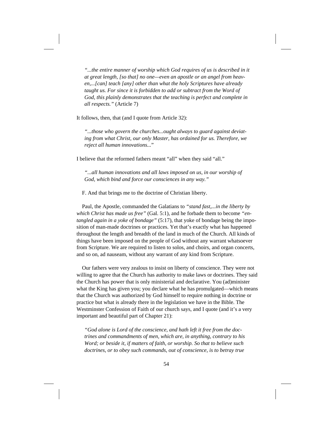*"...the entire manner of worship which God requires of us is described in it at great length, [so that] no one—even an apostle or an angel from heaven,...[can] teach [any] other than what the holy Scriptures have already taught us. For since it is forbidden to add or subtract from the Word of God, this plainly demonstrates that the teaching is perfect and complete in all respects."* (Article 7)

It follows, then, that (and I quote from Article 32):

*"...those who govern the churches...ought always to guard against deviating from what Christ, our only Master, has ordained for us. Therefore, we reject all human innovations...*"

I believe that the reformed fathers meant "all" when they said "all."

*"...all human innovations and all laws imposed on us, in our worship of God, which bind and force our consciences in any way."*

F. And that brings me to the doctrine of Christian liberty.

Paul, the Apostle, commanded the Galatians to *"stand fast,...in the liberty by which Christ has made us free"* (Gal. 5:1), and he forbade them to become *"entangled again in a yoke of bondage"* (5:17), that yoke of bondage being the imposition of man-made doctrines or practices. Yet that's exactly what has happened throughout the length and breadth of the land in much of the Church. All kinds of things have been imposed on the people of God without any warrant whatsoever from Scripture. We are required to listen to solos, and choirs, and organ concerts, and so on, ad nauseam, without any warrant of any kind from Scripture.

Our fathers were very zealous to insist on liberty of conscience. They were not willing to agree that the Church has authority to make laws or doctrines. They said the Church has power that is only ministerial and declarative. You (ad)minister what the King has given you; you declare what he has promulgated—which means that the Church was authorized by God himself to require nothing in doctrine or practice but what is already there in the legislation we have in the Bible. The Westminster Confession of Faith of our church says, and I quote (and it's a very important and beautiful part of Chapter 21):

*"God alone is Lord of the conscience, and hath left it free from the doctrines and commandments of men, which are, in anything, contrary to his Word; or beside it, if matters of faith, or worship. So that to believe such doctrines, or to obey such commands, out of conscience, is to betray true*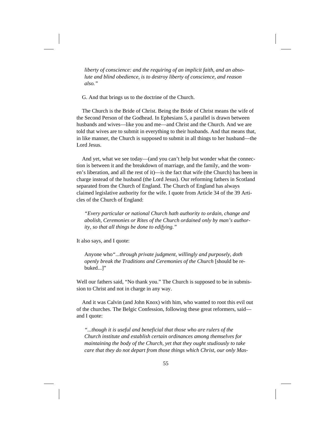*liberty of conscience: and the requiring of an implicit faith, and an absolute and blind obedience, is to destroy liberty of conscience, and reason also."*

G. And that brings us to the doctrine of the Church.

The Church is the Bride of Christ. Being the Bride of Christ means the wife of the Second Person of the Godhead. In Ephesians 5, a parallel is drawn between husbands and wives—like you and me—and Christ and the Church. And we are told that wives are to submit in everything to their husbands. And that means that, in like manner, the Church is supposed to submit in all things to her husband—the Lord Jesus.

And yet, what we see today—(and you can't help but wonder what the connection is between it and the breakdown of marriage, and the family, and the women's liberation, and all the rest of it)—is the fact that wife (the Church) has been in charge instead of the husband (the Lord Jesus). Our reforming fathers in Scotland separated from the Church of England. The Church of England has always claimed legislative authority for the wife. I quote from Article 34 of the 39 Articles of the Church of England:

*"Every particular or national Church hath authority to ordain, change and abolish, Ceremonies or Rites of the Church ordained only by man's authority, so that all things be done to edifying."*

It also says, and I quote:

Anyone who*"...through private judgment, willingly and purposely, doth openly break the Traditions and Ceremonies of the Church* [should be rebuked...]"

Well our fathers said, "No thank you." The Church is supposed to be in submission to Christ and not in charge in any way.

And it was Calvin (and John Knox) with him, who wanted to root this evil out of the churches. The Belgic Confession, following these great reformers, said and I quote:

*"...though it is useful and beneficial that those who are rulers of the Church institute and establish certain ordinances among themselves for maintaining the body of the Church, yet that they ought studiously to take care that they do not depart from those things which Christ, our only Mas-*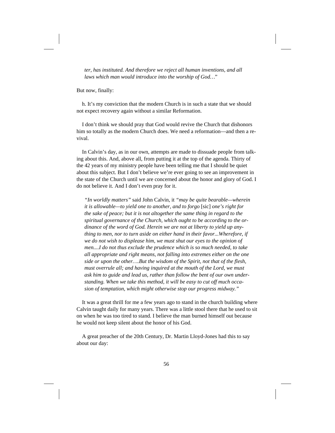*ter, has instituted. And therefore we reject all human inventions, and all laws which man would introduce into the worship of God…*"

But now, finally:

h. It's my conviction that the modern Church is in such a state that we should not expect recovery again without a similar Reformation.

I don't think we should pray that God would revive the Church that dishonors him so totally as the modern Church does. We need a reformation—and then a revival.

In Calvin's day, as in our own, attempts are made to dissuade people from talking about this. And, above all, from putting it at the top of the agenda. Thirty of the 42 years of my ministry people have been telling me that I should be quiet about this subject. But I don't believe we're ever going to see an improvement in the state of the Church until we are concerned about the honor and glory of God. I do not believe it. And I don't even pray for it.

*"In worldly matters"* said John Calvin, it *"may be quite bearable—wherein it is allowable—to yield one to another, and to forgo* [sic] *one's right for the sake of peace; but it is not altogether the same thing in regard to the spiritual governance of the Church, which ought to be according to the ordinance of the word of God. Herein we are not at liberty to yield up anything to men, nor to turn aside on either hand in their favor...Wherefore, if we do not wish to displease him, we must shut our eyes to the opinion of men....I do not thus exclude the prudence which is so much needed, to take all appropriate and right means, not falling into extremes either on the one side or upon the other….But the wisdom of the Spirit, not that of the flesh, must overrule all; and having inquired at the mouth of the Lord, we must ask him to guide and lead us, rather than follow the bent of our own understanding. When we take this method, it will be easy to cut off much occasion of temptation, which might otherwise stop our progress midway."*

It was a great thrill for me a few years ago to stand in the church building where Calvin taught daily for many years. There was a little stool there that he used to sit on when he was too tired to stand. I believe the man burned himself out because he would not keep silent about the honor of his God.

A great preacher of the 20th Century, Dr. Martin Lloyd-Jones had this to say about our day: